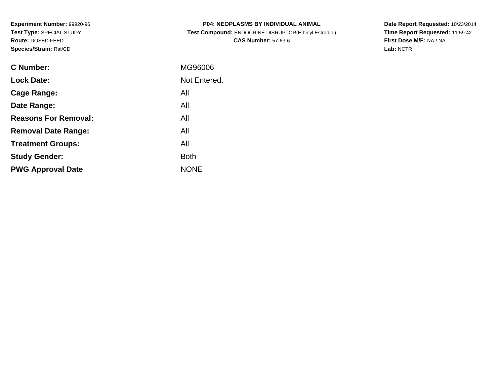**Experiment Number:** 99920-96**Test Type:** SPECIAL STUDY**Route:** DOSED FEED**Species/Strain:** Rat/CD

| <b>P04: NEOPLASMS BY INDIVIDUAL ANIMAL</b>            |
|-------------------------------------------------------|
| Test Compound: ENDOCRINE DISRUPTOR(Ethinyl Estradiol) |
| <b>CAS Number: 57-63-6</b>                            |

**Date Report Requested:** 10/23/2014 **Time Report Requested:** 11:59:42**First Dose M/F:** NA / NA**Lab:** NCTR

| C Number:                   | MG96006      |
|-----------------------------|--------------|
| <b>Lock Date:</b>           | Not Entered. |
| Cage Range:                 | All          |
| Date Range:                 | All          |
| <b>Reasons For Removal:</b> | All          |
| <b>Removal Date Range:</b>  | All          |
| <b>Treatment Groups:</b>    | All          |
| <b>Study Gender:</b>        | <b>Both</b>  |
| <b>PWG Approval Date</b>    | <b>NONE</b>  |
|                             |              |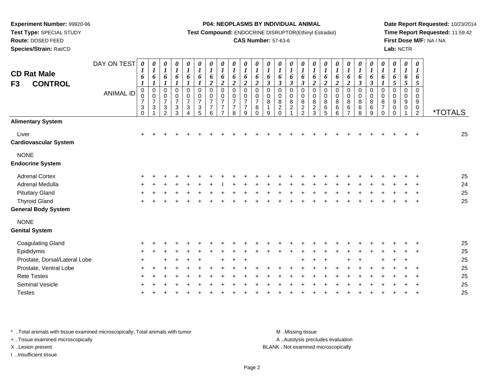**Test Type:** SPECIAL STUDY

**Route:** DOSED FEED

**Species/Strain:** Rat/CD

**P04: NEOPLASMS BY INDIVIDUAL ANIMAL**

**Test Compound:** ENDOCRINE DISRUPTOR(Ethinyl Estradiol)

### **CAS Number:** 57-63-6

**Date Report Requested:** 10/23/2014**Time Report Requested:** 11:59:42**First Dose M/F:** NA / NA**Lab:** NCTR

| <b>CD Rat Male</b><br><b>CONTROL</b><br>F3 | DAY ON TEST<br><b>ANIMAL ID</b> | 0<br>1<br>6<br>$\boldsymbol{l}$<br>$\mathsf 0$<br>0<br>$\overline{\mathbf{7}}$<br>3<br>$\Omega$ | 0<br>$\boldsymbol{l}$<br>6<br>$\boldsymbol{l}$<br>$\pmb{0}$<br>$\frac{0}{7}$<br>$\ensuremath{\mathsf{3}}$ | 0<br>$\boldsymbol{l}$<br>6<br>0<br>0<br>$\overline{7}$<br>$\ensuremath{\mathsf{3}}$<br>$\overline{2}$ | $\pmb{\theta}$<br>$\boldsymbol{l}$<br>6<br>$\mathbf 0$<br>0<br>$\overline{7}$<br>$\ensuremath{\mathsf{3}}$<br>3 | 0<br>$\boldsymbol{\mathit{1}}$<br>6<br>$\boldsymbol{l}$<br>$\mathbf 0$<br>$\mathbf 0$<br>$\overline{7}$<br>$\ensuremath{\mathsf{3}}$<br>4 | 0<br>$\boldsymbol{l}$<br>6<br>$\boldsymbol{l}$<br>$\pmb{0}$<br>$\pmb{0}$<br>$\overline{7}$<br>$\frac{3}{5}$ | 0<br>$\boldsymbol{l}$<br>6<br>$\overline{2}$<br>$\mathbf 0$<br>$\mathbf 0$<br>$\overline{7}$<br>$\overline{7}$<br>6 | 0<br>$\boldsymbol{l}$<br>6<br>$\boldsymbol{2}$<br>$\mathbf 0$<br>$\mathbf 0$<br>$\overline{7}$<br>$\overline{7}$<br>$\overline{ }$ | 0<br>$\boldsymbol{l}$<br>6<br>$\boldsymbol{2}$<br>$\mathbf 0$<br>$\mathbf 0$<br>$\overline{7}$<br>$\overline{7}$<br>8 | 0<br>$\boldsymbol{l}$<br>6<br>$\boldsymbol{2}$<br>0<br>$\frac{0}{7}$<br>$\overline{7}$<br>9 | 0<br>$\boldsymbol{l}$<br>6<br>$\overline{2}$<br>$\mathbf 0$<br>0<br>$\overline{7}$<br>$\bf 8$<br>$\Omega$ | $\boldsymbol{\theta}$<br>$\boldsymbol{l}$<br>6<br>$\mathfrak{z}$<br>0<br>0<br>8<br>$\mathbf{1}$<br>9 | 0<br>$\boldsymbol{l}$<br>6<br>$\boldsymbol{\beta}$<br>$\mathbf 0$<br>0<br>8<br>$\boldsymbol{2}$<br>$\Omega$ | 0<br>$\boldsymbol{l}$<br>6<br>$\boldsymbol{\beta}$<br>0<br>0<br>$\bf 8$<br>$\overline{c}$ | $\boldsymbol{\theta}$<br>$\boldsymbol{l}$<br>6<br>$\boldsymbol{\beta}$<br>0<br>$\mathbf 0$<br>8<br>$\overline{c}$<br>$\overline{2}$ | $\boldsymbol{\theta}$<br>$\boldsymbol{l}$<br>6<br>$\boldsymbol{2}$<br>0<br>0<br>8<br>$\overline{c}$<br>3 | $\boldsymbol{\theta}$<br>$\boldsymbol{l}$<br>6<br>$\boldsymbol{2}$<br>$\mathbf 0$<br>0<br>8<br>$\,6\,$<br>5 | $\boldsymbol{\theta}$<br>$\boldsymbol{l}$<br>6<br>$\boldsymbol{2}$<br>0<br>0<br>8<br>$\,6\,$<br>6 | 0<br>$\boldsymbol{l}$<br>6<br>$\boldsymbol{2}$<br>$\mathbf 0$<br>0<br>8<br>$\,6\,$<br>$\overline{z}$ | 0<br>$\boldsymbol{l}$<br>6<br>$\boldsymbol{\beta}$<br>$\mathbf 0$<br>0<br>8<br>$\,6\,$<br>8 | 0<br>$\boldsymbol{l}$<br>6<br>$\mathfrak{z}$<br>$\mathbf 0$<br>0<br>8<br>6<br>9 | 0<br>$\boldsymbol{l}$<br>6<br>0<br>0<br>8<br>$\overline{7}$<br>$\Omega$ | 0<br>$\boldsymbol{l}$<br>6<br>$\mathfrak{s}$<br>$\mathbf 0$<br>0<br>9<br>0<br>$\Omega$ | 0<br>$\boldsymbol{l}$<br>6<br>5<br>0<br>0<br>9<br>0 | $\boldsymbol{\theta}$<br>$\boldsymbol{l}$<br>6<br>$\mathfrak{s}$<br>$\mathbf 0$<br>0<br>9<br>$\pmb{0}$<br>$\overline{2}$ | <i><b>*TOTALS</b></i> |
|--------------------------------------------|---------------------------------|-------------------------------------------------------------------------------------------------|-----------------------------------------------------------------------------------------------------------|-------------------------------------------------------------------------------------------------------|-----------------------------------------------------------------------------------------------------------------|-------------------------------------------------------------------------------------------------------------------------------------------|-------------------------------------------------------------------------------------------------------------|---------------------------------------------------------------------------------------------------------------------|------------------------------------------------------------------------------------------------------------------------------------|-----------------------------------------------------------------------------------------------------------------------|---------------------------------------------------------------------------------------------|-----------------------------------------------------------------------------------------------------------|------------------------------------------------------------------------------------------------------|-------------------------------------------------------------------------------------------------------------|-------------------------------------------------------------------------------------------|-------------------------------------------------------------------------------------------------------------------------------------|----------------------------------------------------------------------------------------------------------|-------------------------------------------------------------------------------------------------------------|---------------------------------------------------------------------------------------------------|------------------------------------------------------------------------------------------------------|---------------------------------------------------------------------------------------------|---------------------------------------------------------------------------------|-------------------------------------------------------------------------|----------------------------------------------------------------------------------------|-----------------------------------------------------|--------------------------------------------------------------------------------------------------------------------------|-----------------------|
| <b>Alimentary System</b>                   |                                 |                                                                                                 |                                                                                                           |                                                                                                       |                                                                                                                 |                                                                                                                                           |                                                                                                             |                                                                                                                     |                                                                                                                                    |                                                                                                                       |                                                                                             |                                                                                                           |                                                                                                      |                                                                                                             |                                                                                           |                                                                                                                                     |                                                                                                          |                                                                                                             |                                                                                                   |                                                                                                      |                                                                                             |                                                                                 |                                                                         |                                                                                        |                                                     |                                                                                                                          |                       |
| Liver<br><b>Cardiovascular System</b>      |                                 | $+$                                                                                             |                                                                                                           |                                                                                                       |                                                                                                                 |                                                                                                                                           |                                                                                                             |                                                                                                                     |                                                                                                                                    |                                                                                                                       |                                                                                             |                                                                                                           |                                                                                                      |                                                                                                             |                                                                                           |                                                                                                                                     |                                                                                                          |                                                                                                             |                                                                                                   |                                                                                                      |                                                                                             |                                                                                 |                                                                         |                                                                                        |                                                     |                                                                                                                          | 25                    |
| <b>NONE</b><br><b>Endocrine System</b>     |                                 |                                                                                                 |                                                                                                           |                                                                                                       |                                                                                                                 |                                                                                                                                           |                                                                                                             |                                                                                                                     |                                                                                                                                    |                                                                                                                       |                                                                                             |                                                                                                           |                                                                                                      |                                                                                                             |                                                                                           |                                                                                                                                     |                                                                                                          |                                                                                                             |                                                                                                   |                                                                                                      |                                                                                             |                                                                                 |                                                                         |                                                                                        |                                                     |                                                                                                                          |                       |
| <b>Adrenal Cortex</b>                      |                                 |                                                                                                 |                                                                                                           |                                                                                                       |                                                                                                                 |                                                                                                                                           |                                                                                                             |                                                                                                                     |                                                                                                                                    |                                                                                                                       |                                                                                             |                                                                                                           |                                                                                                      |                                                                                                             |                                                                                           |                                                                                                                                     |                                                                                                          |                                                                                                             |                                                                                                   |                                                                                                      |                                                                                             |                                                                                 |                                                                         |                                                                                        |                                                     |                                                                                                                          | 25                    |
| Adrenal Medulla                            |                                 |                                                                                                 |                                                                                                           |                                                                                                       |                                                                                                                 |                                                                                                                                           |                                                                                                             |                                                                                                                     |                                                                                                                                    |                                                                                                                       |                                                                                             |                                                                                                           |                                                                                                      |                                                                                                             |                                                                                           |                                                                                                                                     |                                                                                                          |                                                                                                             |                                                                                                   |                                                                                                      |                                                                                             |                                                                                 |                                                                         |                                                                                        |                                                     |                                                                                                                          | 24                    |
| <b>Pituitary Gland</b>                     |                                 |                                                                                                 |                                                                                                           |                                                                                                       |                                                                                                                 |                                                                                                                                           |                                                                                                             |                                                                                                                     |                                                                                                                                    |                                                                                                                       |                                                                                             |                                                                                                           |                                                                                                      |                                                                                                             |                                                                                           |                                                                                                                                     |                                                                                                          |                                                                                                             |                                                                                                   |                                                                                                      |                                                                                             |                                                                                 |                                                                         |                                                                                        |                                                     |                                                                                                                          | 25                    |
| <b>Thyroid Gland</b>                       |                                 |                                                                                                 |                                                                                                           |                                                                                                       |                                                                                                                 |                                                                                                                                           |                                                                                                             |                                                                                                                     |                                                                                                                                    |                                                                                                                       |                                                                                             |                                                                                                           |                                                                                                      |                                                                                                             |                                                                                           |                                                                                                                                     |                                                                                                          |                                                                                                             |                                                                                                   |                                                                                                      |                                                                                             |                                                                                 |                                                                         |                                                                                        |                                                     |                                                                                                                          | 25                    |
| General Body System                        |                                 |                                                                                                 |                                                                                                           |                                                                                                       |                                                                                                                 |                                                                                                                                           |                                                                                                             |                                                                                                                     |                                                                                                                                    |                                                                                                                       |                                                                                             |                                                                                                           |                                                                                                      |                                                                                                             |                                                                                           |                                                                                                                                     |                                                                                                          |                                                                                                             |                                                                                                   |                                                                                                      |                                                                                             |                                                                                 |                                                                         |                                                                                        |                                                     |                                                                                                                          |                       |
| <b>NONE</b><br><b>Genital System</b>       |                                 |                                                                                                 |                                                                                                           |                                                                                                       |                                                                                                                 |                                                                                                                                           |                                                                                                             |                                                                                                                     |                                                                                                                                    |                                                                                                                       |                                                                                             |                                                                                                           |                                                                                                      |                                                                                                             |                                                                                           |                                                                                                                                     |                                                                                                          |                                                                                                             |                                                                                                   |                                                                                                      |                                                                                             |                                                                                 |                                                                         |                                                                                        |                                                     |                                                                                                                          |                       |
| <b>Coagulating Gland</b>                   |                                 |                                                                                                 |                                                                                                           |                                                                                                       |                                                                                                                 |                                                                                                                                           |                                                                                                             |                                                                                                                     |                                                                                                                                    |                                                                                                                       |                                                                                             |                                                                                                           |                                                                                                      |                                                                                                             |                                                                                           |                                                                                                                                     |                                                                                                          |                                                                                                             |                                                                                                   |                                                                                                      |                                                                                             |                                                                                 |                                                                         |                                                                                        |                                                     |                                                                                                                          | 25                    |
| Epididymis                                 |                                 |                                                                                                 |                                                                                                           |                                                                                                       |                                                                                                                 |                                                                                                                                           |                                                                                                             |                                                                                                                     |                                                                                                                                    |                                                                                                                       |                                                                                             |                                                                                                           |                                                                                                      |                                                                                                             |                                                                                           |                                                                                                                                     |                                                                                                          |                                                                                                             |                                                                                                   |                                                                                                      |                                                                                             |                                                                                 |                                                                         |                                                                                        |                                                     |                                                                                                                          | 25                    |
| Prostate, Dorsal/Lateral Lobe              |                                 |                                                                                                 |                                                                                                           |                                                                                                       |                                                                                                                 |                                                                                                                                           |                                                                                                             |                                                                                                                     |                                                                                                                                    |                                                                                                                       |                                                                                             |                                                                                                           |                                                                                                      |                                                                                                             |                                                                                           |                                                                                                                                     |                                                                                                          |                                                                                                             |                                                                                                   |                                                                                                      |                                                                                             |                                                                                 |                                                                         |                                                                                        |                                                     |                                                                                                                          | 25                    |
| Prostate, Ventral Lobe                     |                                 |                                                                                                 |                                                                                                           |                                                                                                       |                                                                                                                 |                                                                                                                                           |                                                                                                             |                                                                                                                     |                                                                                                                                    |                                                                                                                       |                                                                                             |                                                                                                           |                                                                                                      |                                                                                                             |                                                                                           |                                                                                                                                     |                                                                                                          |                                                                                                             |                                                                                                   |                                                                                                      |                                                                                             |                                                                                 |                                                                         |                                                                                        |                                                     |                                                                                                                          | 25                    |
| <b>Rete Testes</b>                         |                                 |                                                                                                 |                                                                                                           |                                                                                                       |                                                                                                                 |                                                                                                                                           |                                                                                                             |                                                                                                                     |                                                                                                                                    |                                                                                                                       |                                                                                             |                                                                                                           |                                                                                                      |                                                                                                             |                                                                                           |                                                                                                                                     |                                                                                                          |                                                                                                             |                                                                                                   |                                                                                                      |                                                                                             |                                                                                 |                                                                         |                                                                                        |                                                     |                                                                                                                          | 25                    |
| Seminal Vesicle                            |                                 |                                                                                                 |                                                                                                           |                                                                                                       |                                                                                                                 |                                                                                                                                           |                                                                                                             |                                                                                                                     |                                                                                                                                    |                                                                                                                       |                                                                                             |                                                                                                           |                                                                                                      |                                                                                                             |                                                                                           |                                                                                                                                     |                                                                                                          |                                                                                                             |                                                                                                   |                                                                                                      |                                                                                             |                                                                                 |                                                                         |                                                                                        |                                                     |                                                                                                                          | 25                    |
| <b>Testes</b>                              |                                 |                                                                                                 |                                                                                                           |                                                                                                       |                                                                                                                 |                                                                                                                                           |                                                                                                             |                                                                                                                     |                                                                                                                                    |                                                                                                                       |                                                                                             |                                                                                                           |                                                                                                      |                                                                                                             |                                                                                           |                                                                                                                                     |                                                                                                          |                                                                                                             |                                                                                                   |                                                                                                      |                                                                                             |                                                                                 |                                                                         |                                                                                        |                                                     |                                                                                                                          | 25                    |
|                                            |                                 |                                                                                                 |                                                                                                           |                                                                                                       |                                                                                                                 |                                                                                                                                           |                                                                                                             |                                                                                                                     |                                                                                                                                    |                                                                                                                       |                                                                                             |                                                                                                           |                                                                                                      |                                                                                                             |                                                                                           |                                                                                                                                     |                                                                                                          |                                                                                                             |                                                                                                   |                                                                                                      |                                                                                             |                                                                                 |                                                                         |                                                                                        |                                                     |                                                                                                                          |                       |

\* ..Total animals with tissue examined microscopically; Total animals with tumor **M** . Missing tissue M ..Missing tissue

+ ..Tissue examined microscopically

I ..Insufficient tissue

A ..Autolysis precludes evaluation

X ..Lesion present BLANK ..Not examined microscopically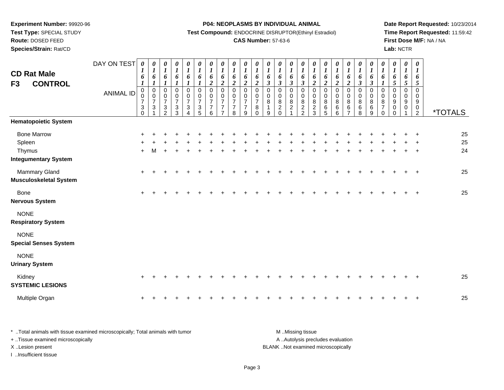**Test Type:** SPECIAL STUDY

## **Route:** DOSED FEED

**Species/Strain:** Rat/CD

#### **P04: NEOPLASMS BY INDIVIDUAL ANIMAL**

**Test Compound:** ENDOCRINE DISRUPTOR(Ethinyl Estradiol)

### **CAS Number:** 57-63-6

**Date Report Requested:** 10/23/2014**Time Report Requested:** 11:59:42**First Dose M/F:** NA / NA**Lab:** NCTR

| <b>CD Rat Male</b><br><b>CONTROL</b><br>F <sub>3</sub>                | DAY ON TEST<br><b>ANIMAL ID</b> | $\boldsymbol{\theta}$<br>$\boldsymbol{l}$<br>6<br>$\boldsymbol{l}$<br>$\boldsymbol{0}$<br>0<br>$\overline{7}$<br>$\sqrt{3}$<br>0 | 0<br>$\boldsymbol{l}$<br>6<br>$\boldsymbol{l}$<br>$\pmb{0}$<br>$\pmb{0}$<br>$\overline{7}$<br>$\sqrt{3}$ | 0<br>$\boldsymbol{l}$<br>6<br>1<br>$\mathbf 0$<br>$\pmb{0}$<br>$\overline{7}$<br>$\sqrt{3}$<br>$\overline{2}$ | 0<br>$\boldsymbol{l}$<br>6<br>$\boldsymbol{l}$<br>0<br>$\frac{0}{7}$<br>$\ensuremath{\mathsf{3}}$<br>3 | 0<br>$\boldsymbol{l}$<br>6<br>1<br>0<br>$\boldsymbol{0}$<br>$\overline{7}$<br>3<br>4 | 0<br>$\boldsymbol{l}$<br>6<br>$\boldsymbol{l}$<br>$\mathbf 0$<br>$\begin{array}{c} 0 \\ 7 \end{array}$<br>$\ensuremath{\mathsf{3}}$<br>5 | 0<br>$\boldsymbol{l}$<br>6<br>$\overline{2}$<br>$\mathbf 0$<br>$\pmb{0}$<br>$\overline{7}$<br>$\overline{7}$<br>6 | 0<br>$\boldsymbol{l}$<br>6<br>$\overline{2}$<br>$\mathbf 0$<br>$\mathbf 0$<br>$\overline{7}$<br>$\overline{7}$ | 0<br>$\boldsymbol{l}$<br>6<br>$\overline{2}$<br>$\mathbf 0$<br>$\mathbf 0$<br>$\overline{7}$<br>$\overline{7}$<br>8 | $\boldsymbol{\theta}$<br>$\boldsymbol{l}$<br>6<br>$\overline{2}$<br>$\mathbf 0$<br>$\mathbf 0$<br>$\overline{7}$<br>$\overline{7}$<br>9 | 0<br>$\boldsymbol{l}$<br>6<br>$\boldsymbol{2}$<br>$\pmb{0}$<br>$\pmb{0}$<br>$\overline{7}$<br>8<br>$\Omega$ | $\boldsymbol{\theta}$<br>$\boldsymbol{l}$<br>6<br>$\mathfrak{z}$<br>$\mathbf 0$<br>$\pmb{0}$<br>8<br>$\mathbf{1}$<br>9 | 0<br>$\boldsymbol{l}$<br>6<br>$\mathfrak{z}$<br>0<br>$\pmb{0}$<br>$\,8\,$<br>$\overline{2}$<br>$\Omega$ | 0<br>$\boldsymbol{l}$<br>6<br>$\boldsymbol{\beta}$<br>$\mathbf 0$<br>$\pmb{0}$<br>$\,8\,$<br>$\overline{c}$ | 0<br>$\boldsymbol{l}$<br>6<br>$\mathfrak{z}$<br>$\pmb{0}$<br>$\pmb{0}$<br>8<br>$\overline{c}$<br>$\overline{2}$ | 0<br>$\boldsymbol{l}$<br>6<br>$\boldsymbol{2}$<br>$\pmb{0}$<br>$\pmb{0}$<br>8<br>$\boldsymbol{2}$<br>3 | $\boldsymbol{\theta}$<br>$\boldsymbol{l}$<br>6<br>$\boldsymbol{2}$<br>$\mathbf 0$<br>$\pmb{0}$<br>8<br>6<br>5 | 0<br>$\boldsymbol{l}$<br>6<br>$\overline{2}$<br>$\pmb{0}$<br>$\pmb{0}$<br>$\overline{8}$<br>6<br>6 | 0<br>$\boldsymbol{l}$<br>6<br>$\overline{\mathbf{c}}$<br>0<br>$\mathbf 0$<br>8<br>$\,6\,$<br>7 | 0<br>$\boldsymbol{l}$<br>6<br>$\boldsymbol{\beta}$<br>$\mathbf 0$<br>$\boldsymbol{0}$<br>$\bf 8$<br>$\,6\,$<br>8 | 0<br>$\boldsymbol{l}$<br>6<br>$\boldsymbol{\beta}$<br>$\,0\,$<br>$\mathbf 0$<br>$\bf 8$<br>$\,6\,$<br>9 | 0<br>$\boldsymbol{l}$<br>6<br>$\mathbf{I}$<br>0<br>$\,0\,$<br>8<br>$\overline{7}$<br>$\Omega$ | $\boldsymbol{\theta}$<br>$\boldsymbol{l}$<br>6<br>5<br>0<br>$\mathbf 0$<br>9<br>$\mathbf 0$<br>0 | 0<br>$\boldsymbol{l}$<br>6<br>5<br>$\mathbf 0$<br>0<br>9<br>0 | $\pmb{\theta}$<br>$\boldsymbol{l}$<br>6<br>5<br>$\Omega$<br>0<br>9<br>$\mathbf 0$<br>$\overline{2}$ | <i><b>*TOTALS</b></i> |
|-----------------------------------------------------------------------|---------------------------------|----------------------------------------------------------------------------------------------------------------------------------|----------------------------------------------------------------------------------------------------------|---------------------------------------------------------------------------------------------------------------|--------------------------------------------------------------------------------------------------------|--------------------------------------------------------------------------------------|------------------------------------------------------------------------------------------------------------------------------------------|-------------------------------------------------------------------------------------------------------------------|----------------------------------------------------------------------------------------------------------------|---------------------------------------------------------------------------------------------------------------------|-----------------------------------------------------------------------------------------------------------------------------------------|-------------------------------------------------------------------------------------------------------------|------------------------------------------------------------------------------------------------------------------------|---------------------------------------------------------------------------------------------------------|-------------------------------------------------------------------------------------------------------------|-----------------------------------------------------------------------------------------------------------------|--------------------------------------------------------------------------------------------------------|---------------------------------------------------------------------------------------------------------------|----------------------------------------------------------------------------------------------------|------------------------------------------------------------------------------------------------|------------------------------------------------------------------------------------------------------------------|---------------------------------------------------------------------------------------------------------|-----------------------------------------------------------------------------------------------|--------------------------------------------------------------------------------------------------|---------------------------------------------------------------|-----------------------------------------------------------------------------------------------------|-----------------------|
| <b>Hematopoietic System</b>                                           |                                 |                                                                                                                                  |                                                                                                          |                                                                                                               |                                                                                                        |                                                                                      |                                                                                                                                          |                                                                                                                   |                                                                                                                |                                                                                                                     |                                                                                                                                         |                                                                                                             |                                                                                                                        |                                                                                                         |                                                                                                             |                                                                                                                 |                                                                                                        |                                                                                                               |                                                                                                    |                                                                                                |                                                                                                                  |                                                                                                         |                                                                                               |                                                                                                  |                                                               |                                                                                                     |                       |
| <b>Bone Marrow</b><br>Spleen<br>Thymus<br><b>Integumentary System</b> |                                 | $+$                                                                                                                              |                                                                                                          |                                                                                                               |                                                                                                        |                                                                                      |                                                                                                                                          |                                                                                                                   |                                                                                                                |                                                                                                                     |                                                                                                                                         |                                                                                                             |                                                                                                                        |                                                                                                         |                                                                                                             |                                                                                                                 |                                                                                                        |                                                                                                               |                                                                                                    |                                                                                                |                                                                                                                  |                                                                                                         |                                                                                               |                                                                                                  |                                                               |                                                                                                     | 25<br>25<br>24        |
| Mammary Gland<br><b>Musculoskeletal System</b>                        |                                 | +                                                                                                                                |                                                                                                          |                                                                                                               |                                                                                                        |                                                                                      |                                                                                                                                          |                                                                                                                   |                                                                                                                |                                                                                                                     |                                                                                                                                         |                                                                                                             |                                                                                                                        |                                                                                                         |                                                                                                             |                                                                                                                 |                                                                                                        |                                                                                                               |                                                                                                    |                                                                                                |                                                                                                                  |                                                                                                         |                                                                                               |                                                                                                  |                                                               |                                                                                                     | 25                    |
| <b>Bone</b><br><b>Nervous System</b>                                  |                                 | $\ddot{}$                                                                                                                        |                                                                                                          |                                                                                                               |                                                                                                        |                                                                                      |                                                                                                                                          |                                                                                                                   |                                                                                                                |                                                                                                                     |                                                                                                                                         |                                                                                                             |                                                                                                                        |                                                                                                         |                                                                                                             |                                                                                                                 |                                                                                                        |                                                                                                               |                                                                                                    |                                                                                                |                                                                                                                  |                                                                                                         |                                                                                               |                                                                                                  |                                                               |                                                                                                     | 25                    |
| <b>NONE</b><br><b>Respiratory System</b>                              |                                 |                                                                                                                                  |                                                                                                          |                                                                                                               |                                                                                                        |                                                                                      |                                                                                                                                          |                                                                                                                   |                                                                                                                |                                                                                                                     |                                                                                                                                         |                                                                                                             |                                                                                                                        |                                                                                                         |                                                                                                             |                                                                                                                 |                                                                                                        |                                                                                                               |                                                                                                    |                                                                                                |                                                                                                                  |                                                                                                         |                                                                                               |                                                                                                  |                                                               |                                                                                                     |                       |
| <b>NONE</b><br><b>Special Senses System</b>                           |                                 |                                                                                                                                  |                                                                                                          |                                                                                                               |                                                                                                        |                                                                                      |                                                                                                                                          |                                                                                                                   |                                                                                                                |                                                                                                                     |                                                                                                                                         |                                                                                                             |                                                                                                                        |                                                                                                         |                                                                                                             |                                                                                                                 |                                                                                                        |                                                                                                               |                                                                                                    |                                                                                                |                                                                                                                  |                                                                                                         |                                                                                               |                                                                                                  |                                                               |                                                                                                     |                       |
| <b>NONE</b><br><b>Urinary System</b>                                  |                                 |                                                                                                                                  |                                                                                                          |                                                                                                               |                                                                                                        |                                                                                      |                                                                                                                                          |                                                                                                                   |                                                                                                                |                                                                                                                     |                                                                                                                                         |                                                                                                             |                                                                                                                        |                                                                                                         |                                                                                                             |                                                                                                                 |                                                                                                        |                                                                                                               |                                                                                                    |                                                                                                |                                                                                                                  |                                                                                                         |                                                                                               |                                                                                                  |                                                               |                                                                                                     |                       |
| Kidney<br><b>SYSTEMIC LESIONS</b>                                     |                                 | $\ddot{}$                                                                                                                        |                                                                                                          |                                                                                                               |                                                                                                        |                                                                                      |                                                                                                                                          |                                                                                                                   |                                                                                                                |                                                                                                                     |                                                                                                                                         |                                                                                                             |                                                                                                                        |                                                                                                         |                                                                                                             |                                                                                                                 |                                                                                                        |                                                                                                               |                                                                                                    |                                                                                                |                                                                                                                  |                                                                                                         |                                                                                               |                                                                                                  |                                                               |                                                                                                     | 25                    |
| Multiple Organ                                                        |                                 |                                                                                                                                  |                                                                                                          |                                                                                                               |                                                                                                        |                                                                                      |                                                                                                                                          |                                                                                                                   |                                                                                                                |                                                                                                                     |                                                                                                                                         |                                                                                                             |                                                                                                                        |                                                                                                         |                                                                                                             |                                                                                                                 |                                                                                                        |                                                                                                               |                                                                                                    |                                                                                                |                                                                                                                  |                                                                                                         |                                                                                               |                                                                                                  |                                                               |                                                                                                     | 25                    |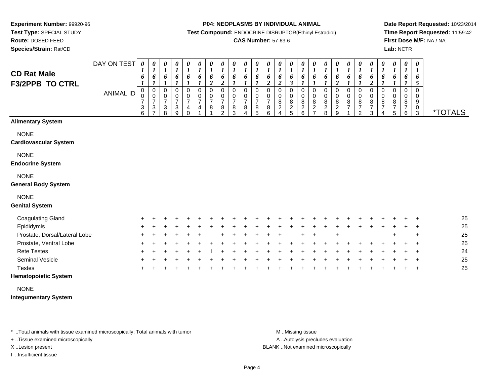**Test Type:** SPECIAL STUDY

**Route:** DOSED FEED**Species/Strain:** Rat/CD **P04: NEOPLASMS BY INDIVIDUAL ANIMAL**

**Test Compound:** ENDOCRINE DISRUPTOR(Ethinyl Estradiol)

### **CAS Number:** 57-63-6

**Date Report Requested:** 10/23/2014**Time Report Requested:** 11:59:42**First Dose M/F:** NA / NA**Lab:** NCTR

| <b>CD Rat Male</b><br><b>F3/2PPB TO CTRL</b> | DAY ON TEST<br><b>ANIMAL ID</b> | $\pmb{\theta}$<br>1<br>6<br>0<br>0<br>$\overline{7}$<br>3<br>6 | 0<br>$\boldsymbol{l}$<br>6<br>0<br>$\mathbf 0$<br>$\boldsymbol{7}$<br>$\ensuremath{\mathsf{3}}$<br>$\overline{ }$ | $\boldsymbol{\theta}$<br>$\boldsymbol{l}$<br>6<br>$\mathbf 0$<br>0<br>$\overline{7}$<br>$\ensuremath{\mathsf{3}}$<br>8 | 0<br>$\boldsymbol{l}$<br>6<br>0<br>0<br>$\overline{7}$<br>3<br>9 | $\pmb{\theta}$<br>$\boldsymbol{l}$<br>6<br>0<br>0<br>$\overline{7}$<br>$\overline{\mathbf{4}}$<br>$\mathbf 0$ | $\boldsymbol{\theta}$<br>$\boldsymbol{l}$<br>6<br>0<br>$\mathbf 0$<br>$\overline{7}$<br>4 | $\pmb{\theta}$<br>$\boldsymbol{l}$<br>6<br>$\boldsymbol{2}$<br>$\pmb{0}$<br>$\pmb{0}$<br>$\overline{7}$<br>8 | $\pmb{\theta}$<br>$\boldsymbol{l}$<br>6<br>$\boldsymbol{2}$<br>0<br>0<br>$\overline{7}$<br>8<br>$\overline{2}$ | 0<br>$\boldsymbol{l}$<br>6<br>$\Omega$<br>0<br>$\overline{7}$<br>8<br>3 | $\pmb{\theta}$<br>$\boldsymbol{l}$<br>6<br>$\mathbf 0$<br>0<br>$\overline{ }$<br>8 | $\pmb{\theta}$<br>$\boldsymbol{l}$<br>6<br>$\Omega$<br>0<br>$\overline{7}$<br>8<br>5 | 0<br>$\boldsymbol{l}$<br>6<br>$\overline{2}$<br>0<br>0<br>$\overline{7}$<br>$\bf 8$<br>6 | $\boldsymbol{\theta}$<br>$\boldsymbol{l}$<br>6<br>$\overline{2}$<br>$\mathbf 0$<br>0<br>8<br>$\sqrt{2}$<br>4 | 0<br>$\boldsymbol{l}$<br>6<br>3<br>0<br>0<br>8<br>$\frac{2}{5}$ | 0<br>$\boldsymbol{l}$<br>6<br>0<br>0<br>8<br>$\frac{2}{6}$ | $\boldsymbol{\theta}$<br>$\boldsymbol{l}$<br>6<br>$\mathbf 0$<br>0<br>8<br>$\frac{2}{7}$ | $\frac{\theta}{I}$<br>6<br>$\pmb{0}$<br>$\pmb{0}$<br>$\bf 8$<br>$_{\rm 8}^2$ | $\pmb{\theta}$<br>$\boldsymbol{l}$<br>6<br>$\overline{c}$<br>0<br>0<br>$\bf 8$<br>$\frac{2}{9}$ | 0<br>$\boldsymbol{l}$<br>6<br>0<br>0<br>$\bf 8$<br>$\overline{7}$ | $\pmb{\theta}$<br>$\boldsymbol{l}$<br>6<br>0<br>0<br>8<br>$\overline{ }$<br>$\overline{2}$ | $\pmb{\theta}$<br>$\boldsymbol{l}$<br>6<br>$\boldsymbol{2}$<br>$\mathbf 0$<br>0<br>8<br>3 | $\pmb{\theta}$<br>$\boldsymbol{l}$<br>6<br>$\Omega$<br>0<br>8 | $\boldsymbol{\theta}$<br>$\boldsymbol{l}$<br>6<br>$\Omega$<br>0<br>8<br>5 | 0<br>$\boldsymbol{l}$<br>6<br>$\Omega$<br>0<br>8<br>6 | $\boldsymbol{\theta}$<br>$\boldsymbol{l}$<br>6<br>5<br>0<br>0<br>$\boldsymbol{9}$<br>$_{3}^{\rm 0}$ | <i><b>*TOTALS</b></i> |
|----------------------------------------------|---------------------------------|----------------------------------------------------------------|-------------------------------------------------------------------------------------------------------------------|------------------------------------------------------------------------------------------------------------------------|------------------------------------------------------------------|---------------------------------------------------------------------------------------------------------------|-------------------------------------------------------------------------------------------|--------------------------------------------------------------------------------------------------------------|----------------------------------------------------------------------------------------------------------------|-------------------------------------------------------------------------|------------------------------------------------------------------------------------|--------------------------------------------------------------------------------------|------------------------------------------------------------------------------------------|--------------------------------------------------------------------------------------------------------------|-----------------------------------------------------------------|------------------------------------------------------------|------------------------------------------------------------------------------------------|------------------------------------------------------------------------------|-------------------------------------------------------------------------------------------------|-------------------------------------------------------------------|--------------------------------------------------------------------------------------------|-------------------------------------------------------------------------------------------|---------------------------------------------------------------|---------------------------------------------------------------------------|-------------------------------------------------------|-----------------------------------------------------------------------------------------------------|-----------------------|
| <b>Alimentary System</b>                     |                                 |                                                                |                                                                                                                   |                                                                                                                        |                                                                  |                                                                                                               |                                                                                           |                                                                                                              |                                                                                                                |                                                                         |                                                                                    |                                                                                      |                                                                                          |                                                                                                              |                                                                 |                                                            |                                                                                          |                                                                              |                                                                                                 |                                                                   |                                                                                            |                                                                                           |                                                               |                                                                           |                                                       |                                                                                                     |                       |
| <b>NONE</b><br><b>Cardiovascular System</b>  |                                 |                                                                |                                                                                                                   |                                                                                                                        |                                                                  |                                                                                                               |                                                                                           |                                                                                                              |                                                                                                                |                                                                         |                                                                                    |                                                                                      |                                                                                          |                                                                                                              |                                                                 |                                                            |                                                                                          |                                                                              |                                                                                                 |                                                                   |                                                                                            |                                                                                           |                                                               |                                                                           |                                                       |                                                                                                     |                       |
| <b>NONE</b><br><b>Endocrine System</b>       |                                 |                                                                |                                                                                                                   |                                                                                                                        |                                                                  |                                                                                                               |                                                                                           |                                                                                                              |                                                                                                                |                                                                         |                                                                                    |                                                                                      |                                                                                          |                                                                                                              |                                                                 |                                                            |                                                                                          |                                                                              |                                                                                                 |                                                                   |                                                                                            |                                                                                           |                                                               |                                                                           |                                                       |                                                                                                     |                       |
| <b>NONE</b><br><b>General Body System</b>    |                                 |                                                                |                                                                                                                   |                                                                                                                        |                                                                  |                                                                                                               |                                                                                           |                                                                                                              |                                                                                                                |                                                                         |                                                                                    |                                                                                      |                                                                                          |                                                                                                              |                                                                 |                                                            |                                                                                          |                                                                              |                                                                                                 |                                                                   |                                                                                            |                                                                                           |                                                               |                                                                           |                                                       |                                                                                                     |                       |
| <b>NONE</b><br><b>Genital System</b>         |                                 |                                                                |                                                                                                                   |                                                                                                                        |                                                                  |                                                                                                               |                                                                                           |                                                                                                              |                                                                                                                |                                                                         |                                                                                    |                                                                                      |                                                                                          |                                                                                                              |                                                                 |                                                            |                                                                                          |                                                                              |                                                                                                 |                                                                   |                                                                                            |                                                                                           |                                                               |                                                                           |                                                       |                                                                                                     |                       |
| <b>Coagulating Gland</b>                     |                                 |                                                                |                                                                                                                   |                                                                                                                        |                                                                  |                                                                                                               |                                                                                           |                                                                                                              |                                                                                                                |                                                                         |                                                                                    |                                                                                      |                                                                                          |                                                                                                              |                                                                 |                                                            |                                                                                          |                                                                              |                                                                                                 |                                                                   |                                                                                            |                                                                                           |                                                               |                                                                           |                                                       |                                                                                                     | 25                    |
| Epididymis                                   |                                 |                                                                |                                                                                                                   |                                                                                                                        |                                                                  |                                                                                                               |                                                                                           |                                                                                                              |                                                                                                                |                                                                         |                                                                                    |                                                                                      |                                                                                          |                                                                                                              |                                                                 |                                                            |                                                                                          |                                                                              |                                                                                                 |                                                                   |                                                                                            |                                                                                           |                                                               |                                                                           |                                                       | $\div$                                                                                              | 25                    |
| Prostate, Dorsal/Lateral Lobe                |                                 |                                                                |                                                                                                                   |                                                                                                                        |                                                                  |                                                                                                               |                                                                                           |                                                                                                              |                                                                                                                |                                                                         |                                                                                    |                                                                                      |                                                                                          |                                                                                                              |                                                                 |                                                            |                                                                                          |                                                                              |                                                                                                 |                                                                   |                                                                                            |                                                                                           |                                                               |                                                                           |                                                       | $\ddot{}$                                                                                           | 25                    |
| Prostate, Ventral Lobe                       |                                 |                                                                |                                                                                                                   |                                                                                                                        |                                                                  |                                                                                                               |                                                                                           |                                                                                                              |                                                                                                                |                                                                         |                                                                                    |                                                                                      |                                                                                          |                                                                                                              |                                                                 |                                                            |                                                                                          |                                                                              |                                                                                                 |                                                                   |                                                                                            |                                                                                           |                                                               |                                                                           |                                                       |                                                                                                     | 25                    |
| <b>Rete Testes</b>                           |                                 |                                                                |                                                                                                                   |                                                                                                                        |                                                                  |                                                                                                               |                                                                                           |                                                                                                              |                                                                                                                |                                                                         |                                                                                    |                                                                                      |                                                                                          |                                                                                                              |                                                                 |                                                            |                                                                                          |                                                                              |                                                                                                 |                                                                   |                                                                                            |                                                                                           |                                                               |                                                                           |                                                       |                                                                                                     | 24                    |
| Seminal Vesicle                              |                                 |                                                                |                                                                                                                   |                                                                                                                        |                                                                  |                                                                                                               |                                                                                           |                                                                                                              |                                                                                                                |                                                                         |                                                                                    |                                                                                      |                                                                                          |                                                                                                              |                                                                 |                                                            |                                                                                          |                                                                              |                                                                                                 |                                                                   |                                                                                            |                                                                                           |                                                               |                                                                           |                                                       | $\ddot{}$                                                                                           | 25                    |
| <b>Testes</b>                                |                                 |                                                                |                                                                                                                   |                                                                                                                        |                                                                  |                                                                                                               |                                                                                           |                                                                                                              |                                                                                                                |                                                                         |                                                                                    |                                                                                      |                                                                                          |                                                                                                              |                                                                 |                                                            |                                                                                          |                                                                              |                                                                                                 |                                                                   |                                                                                            |                                                                                           |                                                               |                                                                           |                                                       | $\ddot{}$                                                                                           | 25                    |

### **Hematopoietic System**

NONE

**Integumentary System**

\* ..Total animals with tissue examined microscopically; Total animals with tumor **M** . Missing tissue M ..Missing tissue

+ ..Tissue examined microscopically

I ..Insufficient tissue

A ..Autolysis precludes evaluation

X ..Lesion present BLANK ..Not examined microscopically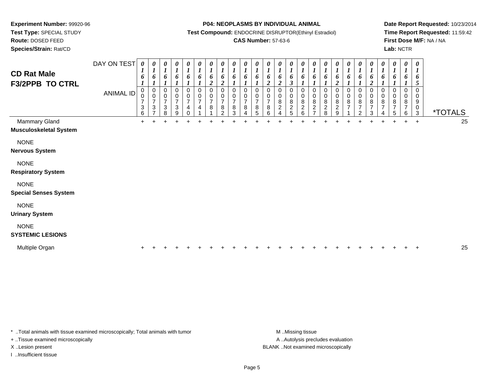**Test Type:** SPECIAL STUDY

**Route:** DOSED FEED

**Species/Strain:** Rat/CD

#### **P04: NEOPLASMS BY INDIVIDUAL ANIMAL**

**Test Compound:** ENDOCRINE DISRUPTOR(Ethinyl Estradiol)

### **CAS Number:** 57-63-6

**Date Report Requested:** 10/23/2014**Time Report Requested:** 11:59:42**First Dose M/F:** NA / NA**Lab:** NCTR

| <b>CD Rat Male</b><br><b>F3/2PPB TO CTRL</b>   | DAY ON TEST<br><b>ANIMAL ID</b> | 0<br>$\boldsymbol{l}$<br>6<br>0<br>$\pmb{0}$<br>$\overline{7}$<br>$\ensuremath{\mathsf{3}}$<br>6 | 0<br>$\boldsymbol{l}$<br>6<br>$\boldsymbol{0}$<br>$\mathbf 0$<br>$\overline{7}$<br>$\ensuremath{\mathsf{3}}$<br>7 | 0<br>$\boldsymbol{l}$<br>6<br>0<br>$\boldsymbol{0}$<br>$\overline{7}$<br>$\mathbf{3}$<br>8 | 0<br>1<br>6<br>$\boldsymbol{l}$<br>$\pmb{0}$<br>$\overline{7}$<br>3<br>9 | 0<br>6<br>0<br>$\pmb{0}$<br>$\overline{7}$<br>$\overline{4}$<br>$\Omega$ | 0<br>6<br>0<br>$\frac{0}{7}$<br>4 | 0<br>$\boldsymbol{l}$<br>6<br>$\overline{c}$<br>0<br>0<br>$\overline{\mathcal{I}}$<br>$\bf 8$<br>$\overline{A}$ | 0<br>$\boldsymbol{\mathit{1}}$<br>6<br>$\boldsymbol{2}$<br>0<br>$\boldsymbol{0}$<br>$\overline{7}$<br>8<br>2 | 0<br>$\boldsymbol{l}$<br>6<br>0<br>0<br>7<br>8<br>3 | 0<br>$\boldsymbol{l}$<br>6<br>$\boldsymbol{l}$<br>0<br>0<br>$\overline{7}$<br>8<br>$\overline{4}$ | 0<br>$\boldsymbol{l}$<br>6<br>0<br>$\boldsymbol{0}$<br>$\overline{7}$<br>8<br>5 | 0<br>6<br>$\overline{c}$<br>0<br>$\overline{7}$<br>8<br>6 | 0<br>6<br>$\boldsymbol{2}$<br>0<br>0<br>8<br>$\overline{c}$<br>4 | 0<br>$\boldsymbol{l}$<br>6<br>$\boldsymbol{\beta}$<br>0<br>$\mathbf 0$<br>$\bf 8$<br>$\overline{\mathbf{c}}$<br>5 | 0<br>$\boldsymbol{l}$<br>6<br>0<br>0<br>$\bf 8$<br>$\overline{c}$<br>$6\phantom{a}$ | 0<br>$\boldsymbol{l}$<br>6<br>0<br>0<br>$\bf 8$<br>$\boldsymbol{2}$<br>$\overline{7}$ | 0<br>1<br>6<br>1<br>$\pmb{0}$<br>$\bf 8$<br>$\frac{2}{8}$ | $\boldsymbol{\theta}$<br>6<br>$\boldsymbol{2}$<br>0<br>$\pmb{0}$<br>8<br>$\boldsymbol{2}$<br>9 | 0<br>6<br>0<br>0<br>$\bf 8$<br>$\overline{7}$ | 0<br>6<br>0<br>0<br>8<br>$\overline{7}$<br>$\mathcal{P}$ | 0<br>$\boldsymbol{l}$<br>6<br>$\boldsymbol{2}$<br>0<br>$\mathbf 0$<br>8<br>$\overline{7}$<br>3 | 0<br>6<br>$\Omega$<br>0<br>8<br>$\overline{7}$ | 0<br>$\boldsymbol{l}$<br>6<br>0<br>0<br>8<br>$\overline{7}$<br>5 | $\boldsymbol{\theta}$<br>$\boldsymbol{l}$<br>6<br>1<br>0<br>8<br>7<br>6 | $\boldsymbol{\theta}$<br>$\boldsymbol{l}$<br>6<br>5<br>$\pmb{0}$<br>0<br>$\boldsymbol{9}$<br>$\pmb{0}$<br>$\mathfrak{S}$ | <i><b>*TOTALS</b></i> |    |
|------------------------------------------------|---------------------------------|--------------------------------------------------------------------------------------------------|-------------------------------------------------------------------------------------------------------------------|--------------------------------------------------------------------------------------------|--------------------------------------------------------------------------|--------------------------------------------------------------------------|-----------------------------------|-----------------------------------------------------------------------------------------------------------------|--------------------------------------------------------------------------------------------------------------|-----------------------------------------------------|---------------------------------------------------------------------------------------------------|---------------------------------------------------------------------------------|-----------------------------------------------------------|------------------------------------------------------------------|-------------------------------------------------------------------------------------------------------------------|-------------------------------------------------------------------------------------|---------------------------------------------------------------------------------------|-----------------------------------------------------------|------------------------------------------------------------------------------------------------|-----------------------------------------------|----------------------------------------------------------|------------------------------------------------------------------------------------------------|------------------------------------------------|------------------------------------------------------------------|-------------------------------------------------------------------------|--------------------------------------------------------------------------------------------------------------------------|-----------------------|----|
| Mammary Gland<br><b>Musculoskeletal System</b> |                                 | $+$                                                                                              | ÷                                                                                                                 |                                                                                            |                                                                          |                                                                          |                                   |                                                                                                                 |                                                                                                              |                                                     |                                                                                                   |                                                                                 |                                                           |                                                                  |                                                                                                                   |                                                                                     |                                                                                       |                                                           |                                                                                                |                                               |                                                          |                                                                                                |                                                |                                                                  | $\pm$                                                                   | $\ddot{}$                                                                                                                |                       | 25 |
| <b>NONE</b><br><b>Nervous System</b>           |                                 |                                                                                                  |                                                                                                                   |                                                                                            |                                                                          |                                                                          |                                   |                                                                                                                 |                                                                                                              |                                                     |                                                                                                   |                                                                                 |                                                           |                                                                  |                                                                                                                   |                                                                                     |                                                                                       |                                                           |                                                                                                |                                               |                                                          |                                                                                                |                                                |                                                                  |                                                                         |                                                                                                                          |                       |    |
| <b>NONE</b><br><b>Respiratory System</b>       |                                 |                                                                                                  |                                                                                                                   |                                                                                            |                                                                          |                                                                          |                                   |                                                                                                                 |                                                                                                              |                                                     |                                                                                                   |                                                                                 |                                                           |                                                                  |                                                                                                                   |                                                                                     |                                                                                       |                                                           |                                                                                                |                                               |                                                          |                                                                                                |                                                |                                                                  |                                                                         |                                                                                                                          |                       |    |
| <b>NONE</b><br><b>Special Senses System</b>    |                                 |                                                                                                  |                                                                                                                   |                                                                                            |                                                                          |                                                                          |                                   |                                                                                                                 |                                                                                                              |                                                     |                                                                                                   |                                                                                 |                                                           |                                                                  |                                                                                                                   |                                                                                     |                                                                                       |                                                           |                                                                                                |                                               |                                                          |                                                                                                |                                                |                                                                  |                                                                         |                                                                                                                          |                       |    |
| <b>NONE</b><br><b>Urinary System</b>           |                                 |                                                                                                  |                                                                                                                   |                                                                                            |                                                                          |                                                                          |                                   |                                                                                                                 |                                                                                                              |                                                     |                                                                                                   |                                                                                 |                                                           |                                                                  |                                                                                                                   |                                                                                     |                                                                                       |                                                           |                                                                                                |                                               |                                                          |                                                                                                |                                                |                                                                  |                                                                         |                                                                                                                          |                       |    |
| <b>NONE</b><br><b>SYSTEMIC LESIONS</b>         |                                 |                                                                                                  |                                                                                                                   |                                                                                            |                                                                          |                                                                          |                                   |                                                                                                                 |                                                                                                              |                                                     |                                                                                                   |                                                                                 |                                                           |                                                                  |                                                                                                                   |                                                                                     |                                                                                       |                                                           |                                                                                                |                                               |                                                          |                                                                                                |                                                |                                                                  |                                                                         |                                                                                                                          |                       |    |
| Multiple Organ                                 |                                 |                                                                                                  |                                                                                                                   |                                                                                            |                                                                          |                                                                          |                                   |                                                                                                                 |                                                                                                              |                                                     |                                                                                                   |                                                                                 |                                                           |                                                                  |                                                                                                                   |                                                                                     |                                                                                       |                                                           |                                                                                                |                                               |                                                          |                                                                                                |                                                |                                                                  |                                                                         |                                                                                                                          |                       | 25 |

\* ..Total animals with tissue examined microscopically; Total animals with tumor **M** . Missing tissue M ..Missing tissue

+ ..Tissue examined microscopically

I ..Insufficient tissue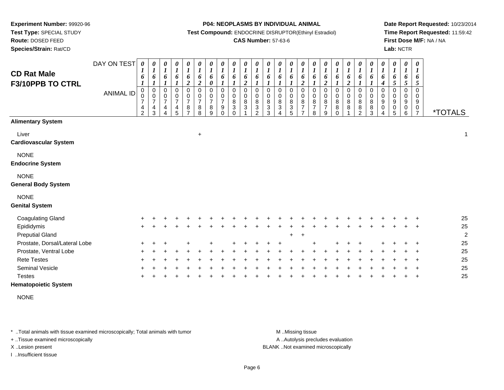**Test Type:** SPECIAL STUDY

**Route:** DOSED FEED

**Species/Strain:** Rat/CD

#### **P04: NEOPLASMS BY INDIVIDUAL ANIMAL**

**Test Compound:** ENDOCRINE DISRUPTOR(Ethinyl Estradiol)

### **CAS Number:** 57-63-6

**Date Report Requested:** 10/23/2014**Time Report Requested:** 11:59:42**First Dose M/F:** NA / NA**Lab:** NCTR

| <b>CD Rat Male</b><br>F3/10PPB TO CTRL    | DAY ON TEST<br><b>ANIMAL ID</b> | 0<br>1<br>6<br>$\pmb{0}$<br>0<br>7<br>4<br>$\overline{2}$ | 0<br>$\boldsymbol{l}$<br>6<br>$\boldsymbol{l}$<br>$\pmb{0}$<br>$\mathbf 0$<br>$\overline{7}$<br>$\overline{4}$<br>3 | $\boldsymbol{\theta}$<br>$\boldsymbol{l}$<br>6<br>$\pmb{0}$<br>$\pmb{0}$<br>$\overline{7}$<br>$\overline{\mathbf{4}}$<br>$\Delta$ | 0<br>$\boldsymbol{l}$<br>6<br>0<br>$\frac{0}{7}$<br>$\frac{4}{5}$ | $\boldsymbol{\theta}$<br>$\boldsymbol{l}$<br>6<br>$\boldsymbol{2}$<br>0<br>0<br>$\overline{7}$<br>$\frac{8}{7}$ | 0<br>$\boldsymbol{l}$<br>6<br>$\boldsymbol{2}$<br>0<br>$\pmb{0}$<br>$\overline{7}$<br>8<br>8 | $\pmb{\theta}$<br>$\boldsymbol{l}$<br>6<br>$\boldsymbol{\theta}$<br>$\mathbf 0$<br>$\pmb{0}$<br>$\overline{7}$<br>8<br>9 | 0<br>$\boldsymbol{l}$<br>6<br>0<br>0<br>$\overline{7}$<br>9<br>$\Omega$ | $\boldsymbol{\theta}$<br>$\boldsymbol{l}$<br>6<br>$\boldsymbol{l}$<br>0<br>0<br>8<br>$\ensuremath{\mathsf{3}}$<br>$\Omega$ | $\boldsymbol{\theta}$<br>$\boldsymbol{l}$<br>6<br>$\boldsymbol{2}$<br>$\mathbf 0$<br>0<br>8<br>3 | $\pmb{\theta}$<br>$\boldsymbol{l}$<br>6<br>$\pmb{0}$<br>$\pmb{0}$<br>$\overline{8}$<br>$\overline{3}$<br>$\mathcal{P}$ | 0<br>1<br>6<br>$\mathbf 0$<br>0<br>$\bf 8$<br>3<br>3 | 0<br>$\boldsymbol{l}$<br>6<br>0<br>0<br>$\bf 8$<br>$\ensuremath{\mathsf{3}}$<br>$\overline{4}$ | $\pmb{\theta}$<br>$\boldsymbol{l}$<br>6<br>$\mathbf{I}$<br>$\,0\,$<br>$\pmb{0}$<br>$\bf8$<br>$\frac{3}{5}$ | $\pmb{\theta}$<br>$\boldsymbol{l}$<br>6<br>$\boldsymbol{2}$<br>$\mathbf 0$<br>$_{\rm 0}^{\rm 0}$<br>$\overline{7}$<br>$\overline{7}$ | $\boldsymbol{\theta}$<br>$\boldsymbol{l}$<br>6<br>$\boldsymbol{l}$<br>$\pmb{0}$<br>$\pmb{0}$<br>$\,8\,$<br>$\overline{7}$<br>8 | 0<br>$\boldsymbol{l}$<br>6<br>$\overline{c}$<br>0<br>0<br>8<br>$\overline{7}$<br>9 | $\boldsymbol{\theta}$<br>$\boldsymbol{l}$<br>6<br>1<br>$\mathbf 0$<br>0<br>8<br>8<br>$\Omega$ | 0<br>$\boldsymbol{l}$<br>6<br>$\boldsymbol{2}$<br>0<br>0<br>$\bf 8$<br>$\bf 8$ | 0<br>$\boldsymbol{l}$<br>6<br>1<br>0<br>0<br>$\bf 8$<br>$\bf 8$<br>$\overline{2}$ | $\pmb{\theta}$<br>$\boldsymbol{l}$<br>6<br>$\pmb{0}$<br>$\pmb{0}$<br>8<br>8<br>3 | $\boldsymbol{\theta}$<br>$\boldsymbol{l}$<br>6<br>$\boldsymbol{4}$<br>$\mathbf 0$<br>0<br>9<br>0<br>4 | 0<br>$\boldsymbol{l}$<br>6<br>5<br>0<br>0<br>9<br>0<br>5 | $\pmb{\theta}$<br>$\boldsymbol{l}$<br>6<br>$\sqrt{5}$<br>$\mathbf 0$<br>0<br>9<br>$\begin{array}{c} 0 \\ 6 \end{array}$ | $\pmb{\theta}$<br>$\boldsymbol{l}$<br>6<br>$\mathfrak{s}$<br>$\mathbf 0$<br>0<br>9<br>$\pmb{0}$<br>$\overline{7}$ | <i><b>*TOTALS</b></i> |
|-------------------------------------------|---------------------------------|-----------------------------------------------------------|---------------------------------------------------------------------------------------------------------------------|-----------------------------------------------------------------------------------------------------------------------------------|-------------------------------------------------------------------|-----------------------------------------------------------------------------------------------------------------|----------------------------------------------------------------------------------------------|--------------------------------------------------------------------------------------------------------------------------|-------------------------------------------------------------------------|----------------------------------------------------------------------------------------------------------------------------|--------------------------------------------------------------------------------------------------|------------------------------------------------------------------------------------------------------------------------|------------------------------------------------------|------------------------------------------------------------------------------------------------|------------------------------------------------------------------------------------------------------------|--------------------------------------------------------------------------------------------------------------------------------------|--------------------------------------------------------------------------------------------------------------------------------|------------------------------------------------------------------------------------|-----------------------------------------------------------------------------------------------|--------------------------------------------------------------------------------|-----------------------------------------------------------------------------------|----------------------------------------------------------------------------------|-------------------------------------------------------------------------------------------------------|----------------------------------------------------------|-------------------------------------------------------------------------------------------------------------------------|-------------------------------------------------------------------------------------------------------------------|-----------------------|
| <b>Alimentary System</b>                  |                                 |                                                           |                                                                                                                     |                                                                                                                                   |                                                                   |                                                                                                                 |                                                                                              |                                                                                                                          |                                                                         |                                                                                                                            |                                                                                                  |                                                                                                                        |                                                      |                                                                                                |                                                                                                            |                                                                                                                                      |                                                                                                                                |                                                                                    |                                                                                               |                                                                                |                                                                                   |                                                                                  |                                                                                                       |                                                          |                                                                                                                         |                                                                                                                   |                       |
| Liver<br><b>Cardiovascular System</b>     |                                 |                                                           |                                                                                                                     |                                                                                                                                   |                                                                   |                                                                                                                 | $\ddot{}$                                                                                    |                                                                                                                          |                                                                         |                                                                                                                            |                                                                                                  |                                                                                                                        |                                                      |                                                                                                |                                                                                                            |                                                                                                                                      |                                                                                                                                |                                                                                    |                                                                                               |                                                                                |                                                                                   |                                                                                  |                                                                                                       |                                                          |                                                                                                                         |                                                                                                                   | $\mathbf 1$           |
| <b>NONE</b><br><b>Endocrine System</b>    |                                 |                                                           |                                                                                                                     |                                                                                                                                   |                                                                   |                                                                                                                 |                                                                                              |                                                                                                                          |                                                                         |                                                                                                                            |                                                                                                  |                                                                                                                        |                                                      |                                                                                                |                                                                                                            |                                                                                                                                      |                                                                                                                                |                                                                                    |                                                                                               |                                                                                |                                                                                   |                                                                                  |                                                                                                       |                                                          |                                                                                                                         |                                                                                                                   |                       |
| <b>NONE</b><br><b>General Body System</b> |                                 |                                                           |                                                                                                                     |                                                                                                                                   |                                                                   |                                                                                                                 |                                                                                              |                                                                                                                          |                                                                         |                                                                                                                            |                                                                                                  |                                                                                                                        |                                                      |                                                                                                |                                                                                                            |                                                                                                                                      |                                                                                                                                |                                                                                    |                                                                                               |                                                                                |                                                                                   |                                                                                  |                                                                                                       |                                                          |                                                                                                                         |                                                                                                                   |                       |
| <b>NONE</b>                               |                                 |                                                           |                                                                                                                     |                                                                                                                                   |                                                                   |                                                                                                                 |                                                                                              |                                                                                                                          |                                                                         |                                                                                                                            |                                                                                                  |                                                                                                                        |                                                      |                                                                                                |                                                                                                            |                                                                                                                                      |                                                                                                                                |                                                                                    |                                                                                               |                                                                                |                                                                                   |                                                                                  |                                                                                                       |                                                          |                                                                                                                         |                                                                                                                   |                       |
| <b>Genital System</b>                     |                                 |                                                           |                                                                                                                     |                                                                                                                                   |                                                                   |                                                                                                                 |                                                                                              |                                                                                                                          |                                                                         |                                                                                                                            |                                                                                                  |                                                                                                                        |                                                      |                                                                                                |                                                                                                            |                                                                                                                                      |                                                                                                                                |                                                                                    |                                                                                               |                                                                                |                                                                                   |                                                                                  |                                                                                                       |                                                          |                                                                                                                         |                                                                                                                   |                       |
| <b>Coagulating Gland</b>                  |                                 |                                                           |                                                                                                                     |                                                                                                                                   |                                                                   |                                                                                                                 |                                                                                              |                                                                                                                          |                                                                         |                                                                                                                            |                                                                                                  |                                                                                                                        |                                                      |                                                                                                |                                                                                                            |                                                                                                                                      |                                                                                                                                |                                                                                    |                                                                                               |                                                                                |                                                                                   |                                                                                  |                                                                                                       |                                                          |                                                                                                                         |                                                                                                                   | 25                    |
| Epididymis                                |                                 | $+$                                                       |                                                                                                                     |                                                                                                                                   |                                                                   |                                                                                                                 |                                                                                              |                                                                                                                          |                                                                         |                                                                                                                            |                                                                                                  |                                                                                                                        |                                                      |                                                                                                |                                                                                                            |                                                                                                                                      |                                                                                                                                |                                                                                    |                                                                                               |                                                                                |                                                                                   |                                                                                  |                                                                                                       |                                                          |                                                                                                                         |                                                                                                                   | 25                    |
| <b>Preputial Gland</b>                    |                                 |                                                           |                                                                                                                     |                                                                                                                                   |                                                                   |                                                                                                                 |                                                                                              |                                                                                                                          |                                                                         |                                                                                                                            |                                                                                                  |                                                                                                                        |                                                      |                                                                                                | $\ddot{}$                                                                                                  | $\ddot{}$                                                                                                                            |                                                                                                                                |                                                                                    |                                                                                               |                                                                                |                                                                                   |                                                                                  |                                                                                                       |                                                          |                                                                                                                         |                                                                                                                   | $\boldsymbol{2}$      |
| Prostate, Dorsal/Lateral Lobe             |                                 |                                                           |                                                                                                                     |                                                                                                                                   |                                                                   |                                                                                                                 |                                                                                              |                                                                                                                          |                                                                         |                                                                                                                            |                                                                                                  |                                                                                                                        |                                                      |                                                                                                |                                                                                                            |                                                                                                                                      |                                                                                                                                |                                                                                    |                                                                                               |                                                                                |                                                                                   |                                                                                  |                                                                                                       |                                                          |                                                                                                                         |                                                                                                                   | 25                    |
| Prostate, Ventral Lobe                    |                                 |                                                           |                                                                                                                     |                                                                                                                                   |                                                                   |                                                                                                                 |                                                                                              |                                                                                                                          |                                                                         |                                                                                                                            |                                                                                                  |                                                                                                                        |                                                      |                                                                                                |                                                                                                            |                                                                                                                                      |                                                                                                                                |                                                                                    |                                                                                               |                                                                                |                                                                                   |                                                                                  |                                                                                                       |                                                          |                                                                                                                         |                                                                                                                   | 25                    |
| <b>Rete Testes</b>                        |                                 |                                                           |                                                                                                                     |                                                                                                                                   |                                                                   |                                                                                                                 |                                                                                              |                                                                                                                          |                                                                         |                                                                                                                            |                                                                                                  |                                                                                                                        |                                                      |                                                                                                |                                                                                                            |                                                                                                                                      |                                                                                                                                |                                                                                    |                                                                                               |                                                                                |                                                                                   |                                                                                  |                                                                                                       |                                                          |                                                                                                                         |                                                                                                                   | 25                    |
| <b>Seminal Vesicle</b>                    |                                 |                                                           |                                                                                                                     |                                                                                                                                   |                                                                   |                                                                                                                 |                                                                                              |                                                                                                                          |                                                                         |                                                                                                                            |                                                                                                  |                                                                                                                        |                                                      |                                                                                                |                                                                                                            |                                                                                                                                      |                                                                                                                                |                                                                                    |                                                                                               |                                                                                |                                                                                   |                                                                                  |                                                                                                       |                                                          |                                                                                                                         |                                                                                                                   | 25                    |
| <b>Testes</b>                             |                                 |                                                           |                                                                                                                     |                                                                                                                                   |                                                                   |                                                                                                                 |                                                                                              |                                                                                                                          |                                                                         |                                                                                                                            |                                                                                                  |                                                                                                                        |                                                      |                                                                                                |                                                                                                            |                                                                                                                                      |                                                                                                                                |                                                                                    |                                                                                               |                                                                                |                                                                                   |                                                                                  |                                                                                                       |                                                          |                                                                                                                         |                                                                                                                   | 25                    |

### **Hematopoietic System**

NONE

\* ..Total animals with tissue examined microscopically; Total animals with tumor **M** . Missing tissue M ..Missing tissue

+ ..Tissue examined microscopically

I ..Insufficient tissue

A ..Autolysis precludes evaluation

X ..Lesion present BLANK ..Not examined microscopically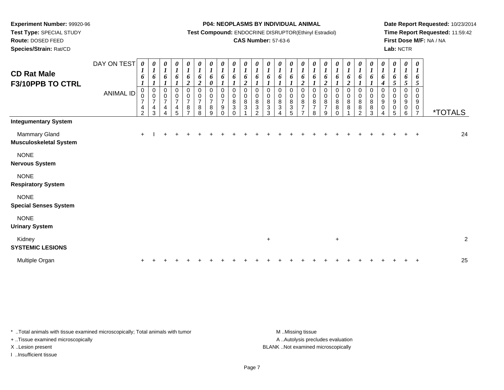**Test Type:** SPECIAL STUDY

## **Route:** DOSED FEED

**Species/Strain:** Rat/CD

#### **P04: NEOPLASMS BY INDIVIDUAL ANIMAL**

**Test Compound:** ENDOCRINE DISRUPTOR(Ethinyl Estradiol)

### **CAS Number:** 57-63-6

**Date Report Requested:** 10/23/2014**Time Report Requested:** 11:59:42**First Dose M/F:** NA / NA**Lab:** NCTR

| <b>CD Rat Male</b><br>F3/10PPB TO CTRL         | DAY ON TEST<br><b>ANIMAL ID</b> | 0<br>$\boldsymbol{l}$<br>6<br>1<br>0<br>0<br>$\overline{7}$<br>4<br>$\overline{2}$ | 0<br>$\boldsymbol{l}$<br>6<br>$\mathbf{I}$<br>$\boldsymbol{0}$<br>$\pmb{0}$<br>$\overline{7}$<br>4<br>$\mathbf{3}$ | 0<br>$\boldsymbol{l}$<br>6<br>$\mathbf 0$<br>0<br>$\overline{7}$<br>4<br>4 | $\boldsymbol{\theta}$<br>$\boldsymbol{l}$<br>6<br>$\boldsymbol{l}$<br>0<br>$\mathbf 0$<br>$\overline{7}$<br>$\overline{\mathbf{r}}$<br>5 | $\boldsymbol{\theta}$<br>$\boldsymbol{l}$<br>6<br>$\boldsymbol{2}$<br>$\mathbf 0$<br>$\pmb{0}$<br>$\overline{7}$<br>8<br>$\overline{7}$ | $\frac{\theta}{I}$<br>6<br>$\boldsymbol{2}$<br>$\mathsf{O}\xspace$<br>$\pmb{0}$<br>$\overline{7}$<br>$\bf 8$<br>8 | $\frac{\boldsymbol{\theta}}{\boldsymbol{I}}$<br>6<br>$\boldsymbol{\theta}$<br>0<br>$\frac{0}{7}$<br>8<br>9 | $\frac{\theta}{I}$<br>6<br>$\boldsymbol{l}$<br>0<br>$\frac{0}{7}$<br>9<br>$\mathbf 0$ | $\boldsymbol{\theta}$<br>$\boldsymbol{l}$<br>6<br>1<br>$\,0\,$<br>$\pmb{0}$<br>$\,8\,$<br>$\ensuremath{\mathsf{3}}$<br>$\Omega$ | 0<br>$\boldsymbol{l}$<br>6<br>$\boldsymbol{2}$<br>$\mathbf 0$<br>0<br>$\bf 8$<br>3 | 0<br>$\boldsymbol{l}$<br>6<br>$\mathbf 0$<br>0<br>8<br>$\mathbf{3}$<br>2 | 0<br>$\boldsymbol{l}$<br>6<br>1<br>$\Omega$<br>0<br>8<br>3<br>3 | 0<br>$\boldsymbol{l}$<br>6<br>0<br>0<br>8<br>3<br>4 | 0<br>$\boldsymbol{l}$<br>6<br>0<br>0<br>8<br>$\ensuremath{\mathsf{3}}$<br>5 | 0<br>$\boldsymbol{l}$<br>6<br>$\boldsymbol{2}$<br>0<br>0<br>$\bf 8$<br>$\overline{7}$<br>$\overline{7}$ | $\boldsymbol{\theta}$<br>$\boldsymbol{l}$<br>6<br>$\mathbf 0$<br>$\mathbf 0$<br>8<br>$\overline{7}$<br>8 | 0<br>$\boldsymbol{l}$<br>6<br>$\overline{2}$<br>$\pmb{0}$<br>0<br>8<br>$\overline{7}$<br>9 | $\frac{\theta}{I}$<br>6<br>$\boldsymbol{l}$<br>0<br>0<br>8<br>8<br>0 | $\boldsymbol{\theta}$<br>$\boldsymbol{l}$<br>6<br>$\overline{\mathbf{c}}$<br>0<br>0<br>8<br>8 | $\boldsymbol{\theta}$<br>$\boldsymbol{l}$<br>6<br>0<br>$\pmb{0}$<br>$\,8\,$<br>8<br>$\mathcal{P}$ | $\boldsymbol{\theta}$<br>$\boldsymbol{l}$<br>6<br>0<br>0<br>$\bf 8$<br>8<br>3 | 0<br>$\boldsymbol{l}$<br>6<br>$\boldsymbol{4}$<br>0<br>0<br>$\boldsymbol{9}$<br>$\pmb{0}$<br>4 | 0<br>$\boldsymbol{l}$<br>6<br>5<br>0<br>0<br>9<br>0<br>5 | 0<br>$\boldsymbol{l}$<br>6<br>$\mathfrak{s}$<br>0<br>0<br>9<br>$\mathbf 0$<br>6 | 0<br>$\boldsymbol{l}$<br>6<br>5<br>0<br>0<br>9<br>0<br>$\overline{7}$ | <i><b>*TOTALS</b></i> |
|------------------------------------------------|---------------------------------|------------------------------------------------------------------------------------|--------------------------------------------------------------------------------------------------------------------|----------------------------------------------------------------------------|------------------------------------------------------------------------------------------------------------------------------------------|-----------------------------------------------------------------------------------------------------------------------------------------|-------------------------------------------------------------------------------------------------------------------|------------------------------------------------------------------------------------------------------------|---------------------------------------------------------------------------------------|---------------------------------------------------------------------------------------------------------------------------------|------------------------------------------------------------------------------------|--------------------------------------------------------------------------|-----------------------------------------------------------------|-----------------------------------------------------|-----------------------------------------------------------------------------|---------------------------------------------------------------------------------------------------------|----------------------------------------------------------------------------------------------------------|--------------------------------------------------------------------------------------------|----------------------------------------------------------------------|-----------------------------------------------------------------------------------------------|---------------------------------------------------------------------------------------------------|-------------------------------------------------------------------------------|------------------------------------------------------------------------------------------------|----------------------------------------------------------|---------------------------------------------------------------------------------|-----------------------------------------------------------------------|-----------------------|
| <b>Integumentary System</b>                    |                                 |                                                                                    |                                                                                                                    |                                                                            |                                                                                                                                          |                                                                                                                                         |                                                                                                                   |                                                                                                            |                                                                                       |                                                                                                                                 |                                                                                    |                                                                          |                                                                 |                                                     |                                                                             |                                                                                                         |                                                                                                          |                                                                                            |                                                                      |                                                                                               |                                                                                                   |                                                                               |                                                                                                |                                                          |                                                                                 |                                                                       |                       |
| Mammary Gland<br><b>Musculoskeletal System</b> |                                 | $+$                                                                                |                                                                                                                    |                                                                            |                                                                                                                                          |                                                                                                                                         |                                                                                                                   |                                                                                                            |                                                                                       |                                                                                                                                 |                                                                                    |                                                                          |                                                                 |                                                     |                                                                             |                                                                                                         |                                                                                                          |                                                                                            |                                                                      |                                                                                               |                                                                                                   |                                                                               |                                                                                                |                                                          |                                                                                 | $\mathbf +$                                                           | 24                    |
| <b>NONE</b><br><b>Nervous System</b>           |                                 |                                                                                    |                                                                                                                    |                                                                            |                                                                                                                                          |                                                                                                                                         |                                                                                                                   |                                                                                                            |                                                                                       |                                                                                                                                 |                                                                                    |                                                                          |                                                                 |                                                     |                                                                             |                                                                                                         |                                                                                                          |                                                                                            |                                                                      |                                                                                               |                                                                                                   |                                                                               |                                                                                                |                                                          |                                                                                 |                                                                       |                       |
| <b>NONE</b><br><b>Respiratory System</b>       |                                 |                                                                                    |                                                                                                                    |                                                                            |                                                                                                                                          |                                                                                                                                         |                                                                                                                   |                                                                                                            |                                                                                       |                                                                                                                                 |                                                                                    |                                                                          |                                                                 |                                                     |                                                                             |                                                                                                         |                                                                                                          |                                                                                            |                                                                      |                                                                                               |                                                                                                   |                                                                               |                                                                                                |                                                          |                                                                                 |                                                                       |                       |
| <b>NONE</b><br><b>Special Senses System</b>    |                                 |                                                                                    |                                                                                                                    |                                                                            |                                                                                                                                          |                                                                                                                                         |                                                                                                                   |                                                                                                            |                                                                                       |                                                                                                                                 |                                                                                    |                                                                          |                                                                 |                                                     |                                                                             |                                                                                                         |                                                                                                          |                                                                                            |                                                                      |                                                                                               |                                                                                                   |                                                                               |                                                                                                |                                                          |                                                                                 |                                                                       |                       |
| <b>NONE</b><br><b>Urinary System</b>           |                                 |                                                                                    |                                                                                                                    |                                                                            |                                                                                                                                          |                                                                                                                                         |                                                                                                                   |                                                                                                            |                                                                                       |                                                                                                                                 |                                                                                    |                                                                          |                                                                 |                                                     |                                                                             |                                                                                                         |                                                                                                          |                                                                                            |                                                                      |                                                                                               |                                                                                                   |                                                                               |                                                                                                |                                                          |                                                                                 |                                                                       |                       |
| Kidney<br><b>SYSTEMIC LESIONS</b>              |                                 |                                                                                    |                                                                                                                    |                                                                            |                                                                                                                                          |                                                                                                                                         |                                                                                                                   |                                                                                                            |                                                                                       |                                                                                                                                 |                                                                                    |                                                                          | $\ddot{}$                                                       |                                                     |                                                                             |                                                                                                         |                                                                                                          |                                                                                            | $\ddot{}$                                                            |                                                                                               |                                                                                                   |                                                                               |                                                                                                |                                                          |                                                                                 |                                                                       | $\overline{c}$        |
| Multiple Organ                                 |                                 |                                                                                    |                                                                                                                    |                                                                            |                                                                                                                                          |                                                                                                                                         |                                                                                                                   |                                                                                                            |                                                                                       |                                                                                                                                 |                                                                                    |                                                                          |                                                                 |                                                     |                                                                             |                                                                                                         |                                                                                                          |                                                                                            |                                                                      |                                                                                               |                                                                                                   |                                                                               |                                                                                                |                                                          |                                                                                 |                                                                       | 25                    |
|                                                |                                 |                                                                                    |                                                                                                                    |                                                                            |                                                                                                                                          |                                                                                                                                         |                                                                                                                   |                                                                                                            |                                                                                       |                                                                                                                                 |                                                                                    |                                                                          |                                                                 |                                                     |                                                                             |                                                                                                         |                                                                                                          |                                                                                            |                                                                      |                                                                                               |                                                                                                   |                                                                               |                                                                                                |                                                          |                                                                                 |                                                                       |                       |

\* ..Total animals with tissue examined microscopically; Total animals with tumor **M** . Missing tissue M ..Missing tissue

+ ..Tissue examined microscopically

I ..Insufficient tissue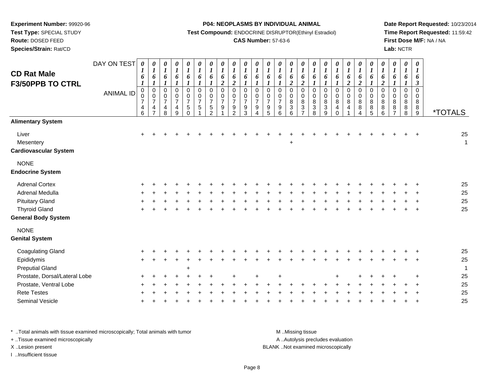**Test Type:** SPECIAL STUDY

## **Route:** DOSED FEED

**Species/Strain:** Rat/CD

#### **P04: NEOPLASMS BY INDIVIDUAL ANIMAL**

**Test Compound:** ENDOCRINE DISRUPTOR(Ethinyl Estradiol)

### **CAS Number:** 57-63-6

**Date Report Requested:** 10/23/2014**Time Report Requested:** 11:59:42**First Dose M/F:** NA / NA**Lab:** NCTR

| <b>CD Rat Male</b><br><b>F3/50PPB TO CTRL</b>      | DAY ON TEST<br><b>ANIMAL ID</b> | $\boldsymbol{\theta}$<br>$\boldsymbol{l}$<br>6<br>$\boldsymbol{l}$<br>$\mathbf 0$<br>$\mathsf{O}\xspace$<br>$\overline{7}$<br>$\overline{4}$<br>6 | $\boldsymbol{\theta}$<br>$\boldsymbol{l}$<br>6<br>$\boldsymbol{l}$<br>$\mathbf 0$<br>$\mathbf 0$<br>$\boldsymbol{7}$<br>4<br>$\overline{7}$ | 0<br>$\boldsymbol{I}$<br>6<br>$\boldsymbol{l}$<br>$\mathsf 0$<br>$\mathbf 0$<br>$\boldsymbol{7}$<br>4<br>8 | $\pmb{\theta}$<br>$\boldsymbol{l}$<br>6<br>$\boldsymbol{l}$<br>$\overline{0}$<br>$\mathbf 0$<br>$\overline{7}$<br>4<br>9 | $\frac{\theta}{I}$<br>6<br>$\boldsymbol{l}$<br>0<br>$\pmb{0}$<br>$\overline{7}$<br>$5\phantom{.0}$<br>$\Omega$ | $\pmb{\theta}$<br>$\boldsymbol{l}$<br>6<br>$\boldsymbol{l}$<br>0<br>$\begin{array}{c} 0 \\ 7 \end{array}$<br>$\sqrt{5}$ | 0<br>$\boldsymbol{l}$<br>6<br>$\boldsymbol{l}$<br>$\mathbf 0$<br>$\mathbf 0$<br>$\boldsymbol{7}$<br>$5\phantom{.0}$<br>$\overline{2}$ | $\frac{\theta}{I}$<br>6<br>$\overline{2}$<br>$\mathbf 0$<br>$\pmb{0}$<br>$\overline{7}$<br>9 | $\boldsymbol{\theta}$<br>$\boldsymbol{l}$<br>6<br>$\overline{\mathbf{c}}$<br>$\mathbf 0$<br>0<br>$\overline{7}$<br>9<br>$\overline{2}$ | $\pmb{\theta}$<br>$\boldsymbol{l}$<br>6<br>$\boldsymbol{l}$<br>$\mathbf 0$<br>0<br>$\overline{7}$<br>$\boldsymbol{9}$<br>3 | $\pmb{\theta}$<br>$\boldsymbol{l}$<br>6<br>$\boldsymbol{l}$<br>$\overline{0}$<br>0<br>$\overline{7}$<br>9<br>Δ | 0<br>$\boldsymbol{l}$<br>6<br>$\boldsymbol{l}$<br>0<br>$\mathbf 0$<br>$\overline{7}$<br>9<br>5 | $\pmb{\theta}$<br>$\boldsymbol{l}$<br>6<br>$\boldsymbol{l}$<br>$\pmb{0}$<br>$\mathbf 0$<br>$\overline{7}$<br>9<br>6 | $\pmb{\theta}$<br>$\boldsymbol{l}$<br>6<br>$\overline{2}$<br>$\mathbf 0$<br>$\mathbf 0$<br>$\bf 8$<br>$\mathbf{3}$<br>6 | $\frac{\theta}{I}$<br>6<br>$\overline{2}$<br>$\mathsf 0$<br>$\mathbf 0$<br>8<br>$\ensuremath{\mathsf{3}}$<br>$\overline{ }$ | $\frac{\theta}{I}$<br>6<br>$\boldsymbol{l}$<br>$\pmb{0}$<br>$\mathbf 0$<br>8<br>$\mathbf{3}$<br>8 | 0<br>$\boldsymbol{l}$<br>6<br>$\boldsymbol{l}$<br>$\mathsf 0$<br>0<br>$\bf 8$<br>$\sqrt{3}$<br>9 | $\pmb{\theta}$<br>$\boldsymbol{l}$<br>6<br>$\boldsymbol{l}$<br>$\mathsf 0$<br>$\mathbf 0$<br>8<br>$\overline{4}$<br>$\Omega$ | $\pmb{\theta}$<br>$\boldsymbol{l}$<br>6<br>$\boldsymbol{2}$<br>0<br>$\mathsf 0$<br>8<br>4 | $\pmb{\theta}$<br>$\boldsymbol{l}$<br>6<br>$\overline{2}$<br>0<br>0<br>8<br>8<br>4 | 0<br>$\boldsymbol{l}$<br>6<br>$\boldsymbol{l}$<br>$\mathsf 0$<br>$\mathbf 0$<br>$\bf8$<br>8<br>5 | $\pmb{\theta}$<br>$\boldsymbol{l}$<br>6<br>$\overline{2}$<br>$\mathsf 0$<br>$\mathbf 0$<br>8<br>$\bf 8$<br>6 | $\pmb{\theta}$<br>$\boldsymbol{l}$<br>6<br>0<br>$\Omega$<br>8<br>8<br>$\overline{\phantom{a}}$ | $\pmb{\theta}$<br>$\boldsymbol{l}$<br>6<br>$\pmb{0}$<br>0<br>8<br>8<br>8 | $\boldsymbol{\theta}$<br>$\boldsymbol{\mathit{1}}$<br>6<br>$\boldsymbol{\beta}$<br>$\mathbf 0$<br>$\mathbf 0$<br>8<br>8<br>9 | <i><b>*TOTALS</b></i> |
|----------------------------------------------------|---------------------------------|---------------------------------------------------------------------------------------------------------------------------------------------------|---------------------------------------------------------------------------------------------------------------------------------------------|------------------------------------------------------------------------------------------------------------|--------------------------------------------------------------------------------------------------------------------------|----------------------------------------------------------------------------------------------------------------|-------------------------------------------------------------------------------------------------------------------------|---------------------------------------------------------------------------------------------------------------------------------------|----------------------------------------------------------------------------------------------|----------------------------------------------------------------------------------------------------------------------------------------|----------------------------------------------------------------------------------------------------------------------------|----------------------------------------------------------------------------------------------------------------|------------------------------------------------------------------------------------------------|---------------------------------------------------------------------------------------------------------------------|-------------------------------------------------------------------------------------------------------------------------|-----------------------------------------------------------------------------------------------------------------------------|---------------------------------------------------------------------------------------------------|--------------------------------------------------------------------------------------------------|------------------------------------------------------------------------------------------------------------------------------|-------------------------------------------------------------------------------------------|------------------------------------------------------------------------------------|--------------------------------------------------------------------------------------------------|--------------------------------------------------------------------------------------------------------------|------------------------------------------------------------------------------------------------|--------------------------------------------------------------------------|------------------------------------------------------------------------------------------------------------------------------|-----------------------|
| <b>Alimentary System</b>                           |                                 |                                                                                                                                                   |                                                                                                                                             |                                                                                                            |                                                                                                                          |                                                                                                                |                                                                                                                         |                                                                                                                                       |                                                                                              |                                                                                                                                        |                                                                                                                            |                                                                                                                |                                                                                                |                                                                                                                     |                                                                                                                         |                                                                                                                             |                                                                                                   |                                                                                                  |                                                                                                                              |                                                                                           |                                                                                    |                                                                                                  |                                                                                                              |                                                                                                |                                                                          |                                                                                                                              |                       |
| Liver<br>Mesentery<br><b>Cardiovascular System</b> |                                 | $\ddot{}$                                                                                                                                         |                                                                                                                                             |                                                                                                            |                                                                                                                          |                                                                                                                |                                                                                                                         |                                                                                                                                       |                                                                                              |                                                                                                                                        |                                                                                                                            |                                                                                                                |                                                                                                |                                                                                                                     | ÷                                                                                                                       |                                                                                                                             |                                                                                                   |                                                                                                  |                                                                                                                              |                                                                                           |                                                                                    |                                                                                                  |                                                                                                              |                                                                                                |                                                                          |                                                                                                                              | 25<br>$\mathbf{1}$    |
| <b>NONE</b><br><b>Endocrine System</b>             |                                 |                                                                                                                                                   |                                                                                                                                             |                                                                                                            |                                                                                                                          |                                                                                                                |                                                                                                                         |                                                                                                                                       |                                                                                              |                                                                                                                                        |                                                                                                                            |                                                                                                                |                                                                                                |                                                                                                                     |                                                                                                                         |                                                                                                                             |                                                                                                   |                                                                                                  |                                                                                                                              |                                                                                           |                                                                                    |                                                                                                  |                                                                                                              |                                                                                                |                                                                          |                                                                                                                              |                       |
| <b>Adrenal Cortex</b>                              |                                 |                                                                                                                                                   |                                                                                                                                             |                                                                                                            |                                                                                                                          |                                                                                                                |                                                                                                                         |                                                                                                                                       |                                                                                              |                                                                                                                                        |                                                                                                                            |                                                                                                                |                                                                                                |                                                                                                                     |                                                                                                                         |                                                                                                                             |                                                                                                   |                                                                                                  |                                                                                                                              |                                                                                           |                                                                                    |                                                                                                  |                                                                                                              |                                                                                                |                                                                          |                                                                                                                              | 25                    |
| Adrenal Medulla                                    |                                 |                                                                                                                                                   |                                                                                                                                             |                                                                                                            |                                                                                                                          |                                                                                                                |                                                                                                                         |                                                                                                                                       |                                                                                              |                                                                                                                                        |                                                                                                                            |                                                                                                                |                                                                                                |                                                                                                                     |                                                                                                                         |                                                                                                                             |                                                                                                   |                                                                                                  |                                                                                                                              |                                                                                           |                                                                                    |                                                                                                  |                                                                                                              |                                                                                                |                                                                          |                                                                                                                              | 25                    |
| <b>Pituitary Gland</b>                             |                                 |                                                                                                                                                   |                                                                                                                                             |                                                                                                            |                                                                                                                          |                                                                                                                |                                                                                                                         |                                                                                                                                       |                                                                                              |                                                                                                                                        |                                                                                                                            |                                                                                                                |                                                                                                |                                                                                                                     |                                                                                                                         |                                                                                                                             |                                                                                                   |                                                                                                  |                                                                                                                              |                                                                                           |                                                                                    |                                                                                                  |                                                                                                              |                                                                                                |                                                                          |                                                                                                                              | 25                    |
| <b>Thyroid Gland</b>                               |                                 |                                                                                                                                                   |                                                                                                                                             |                                                                                                            |                                                                                                                          |                                                                                                                |                                                                                                                         |                                                                                                                                       |                                                                                              |                                                                                                                                        |                                                                                                                            |                                                                                                                |                                                                                                |                                                                                                                     |                                                                                                                         |                                                                                                                             |                                                                                                   |                                                                                                  |                                                                                                                              |                                                                                           |                                                                                    |                                                                                                  |                                                                                                              |                                                                                                |                                                                          |                                                                                                                              | 25                    |
| <b>General Body System</b>                         |                                 |                                                                                                                                                   |                                                                                                                                             |                                                                                                            |                                                                                                                          |                                                                                                                |                                                                                                                         |                                                                                                                                       |                                                                                              |                                                                                                                                        |                                                                                                                            |                                                                                                                |                                                                                                |                                                                                                                     |                                                                                                                         |                                                                                                                             |                                                                                                   |                                                                                                  |                                                                                                                              |                                                                                           |                                                                                    |                                                                                                  |                                                                                                              |                                                                                                |                                                                          |                                                                                                                              |                       |
| <b>NONE</b><br><b>Genital System</b>               |                                 |                                                                                                                                                   |                                                                                                                                             |                                                                                                            |                                                                                                                          |                                                                                                                |                                                                                                                         |                                                                                                                                       |                                                                                              |                                                                                                                                        |                                                                                                                            |                                                                                                                |                                                                                                |                                                                                                                     |                                                                                                                         |                                                                                                                             |                                                                                                   |                                                                                                  |                                                                                                                              |                                                                                           |                                                                                    |                                                                                                  |                                                                                                              |                                                                                                |                                                                          |                                                                                                                              |                       |
| <b>Coagulating Gland</b>                           |                                 |                                                                                                                                                   |                                                                                                                                             |                                                                                                            |                                                                                                                          |                                                                                                                |                                                                                                                         |                                                                                                                                       |                                                                                              |                                                                                                                                        |                                                                                                                            |                                                                                                                |                                                                                                |                                                                                                                     |                                                                                                                         |                                                                                                                             |                                                                                                   |                                                                                                  |                                                                                                                              |                                                                                           |                                                                                    |                                                                                                  |                                                                                                              |                                                                                                |                                                                          |                                                                                                                              | 25                    |
| Epididymis                                         |                                 |                                                                                                                                                   |                                                                                                                                             |                                                                                                            |                                                                                                                          |                                                                                                                |                                                                                                                         |                                                                                                                                       |                                                                                              |                                                                                                                                        |                                                                                                                            |                                                                                                                |                                                                                                |                                                                                                                     |                                                                                                                         |                                                                                                                             |                                                                                                   |                                                                                                  |                                                                                                                              |                                                                                           |                                                                                    |                                                                                                  |                                                                                                              |                                                                                                |                                                                          |                                                                                                                              | 25                    |
| <b>Preputial Gland</b>                             |                                 |                                                                                                                                                   |                                                                                                                                             |                                                                                                            |                                                                                                                          | $\ddot{}$                                                                                                      |                                                                                                                         |                                                                                                                                       |                                                                                              |                                                                                                                                        |                                                                                                                            |                                                                                                                |                                                                                                |                                                                                                                     |                                                                                                                         |                                                                                                                             |                                                                                                   |                                                                                                  |                                                                                                                              |                                                                                           |                                                                                    |                                                                                                  |                                                                                                              |                                                                                                |                                                                          |                                                                                                                              | $\mathbf{1}$          |
| Prostate, Dorsal/Lateral Lobe                      |                                 |                                                                                                                                                   |                                                                                                                                             |                                                                                                            |                                                                                                                          |                                                                                                                |                                                                                                                         |                                                                                                                                       |                                                                                              |                                                                                                                                        |                                                                                                                            |                                                                                                                |                                                                                                |                                                                                                                     |                                                                                                                         |                                                                                                                             |                                                                                                   |                                                                                                  |                                                                                                                              |                                                                                           |                                                                                    |                                                                                                  |                                                                                                              |                                                                                                |                                                                          |                                                                                                                              | 25                    |
| Prostate, Ventral Lobe                             |                                 |                                                                                                                                                   |                                                                                                                                             |                                                                                                            |                                                                                                                          |                                                                                                                |                                                                                                                         |                                                                                                                                       |                                                                                              |                                                                                                                                        |                                                                                                                            |                                                                                                                |                                                                                                |                                                                                                                     |                                                                                                                         |                                                                                                                             |                                                                                                   |                                                                                                  |                                                                                                                              |                                                                                           |                                                                                    |                                                                                                  |                                                                                                              |                                                                                                |                                                                          |                                                                                                                              | 25                    |
| <b>Rete Testes</b>                                 |                                 |                                                                                                                                                   |                                                                                                                                             |                                                                                                            |                                                                                                                          |                                                                                                                |                                                                                                                         |                                                                                                                                       |                                                                                              |                                                                                                                                        |                                                                                                                            |                                                                                                                |                                                                                                |                                                                                                                     |                                                                                                                         |                                                                                                                             |                                                                                                   |                                                                                                  |                                                                                                                              |                                                                                           |                                                                                    |                                                                                                  |                                                                                                              |                                                                                                |                                                                          |                                                                                                                              | 25                    |
| Seminal Vesicle                                    |                                 |                                                                                                                                                   |                                                                                                                                             |                                                                                                            |                                                                                                                          |                                                                                                                |                                                                                                                         |                                                                                                                                       |                                                                                              |                                                                                                                                        |                                                                                                                            |                                                                                                                |                                                                                                |                                                                                                                     |                                                                                                                         |                                                                                                                             |                                                                                                   |                                                                                                  |                                                                                                                              |                                                                                           |                                                                                    |                                                                                                  |                                                                                                              |                                                                                                |                                                                          |                                                                                                                              | 25                    |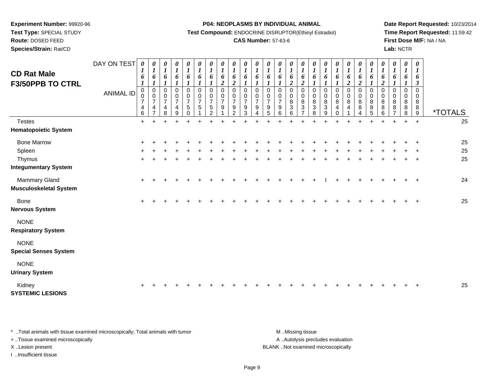**Test Type:** SPECIAL STUDY

## **Route:** DOSED FEED

**Species/Strain:** Rat/CD

#### **P04: NEOPLASMS BY INDIVIDUAL ANIMAL**

**Test Compound:** ENDOCRINE DISRUPTOR(Ethinyl Estradiol)

### **CAS Number:** 57-63-6

**Date Report Requested:** 10/23/2014**Time Report Requested:** 11:59:42**First Dose M/F:** NA / NA**Lab:** NCTR

| <b>CD Rat Male</b>                             | DAY ON TEST      | 0<br>$\bm{l}$<br>6                           | 0<br>$\boldsymbol{l}$<br>6                                        | 0<br>$\boldsymbol{l}$<br>6                           | 0<br>$\boldsymbol{l}$<br>6                 | 0<br>$\boldsymbol{l}$<br>6                                 | 0<br>$\boldsymbol{l}$<br>6                        | 0<br>$\boldsymbol{l}$<br>6                                                 | $\boldsymbol{\theta}$<br>$\boldsymbol{l}$<br>6    | 0<br>$\boldsymbol{l}$<br>6                                       | $\boldsymbol{\theta}$<br>$\boldsymbol{l}$<br>6         | 0<br>$\boldsymbol{l}$<br>6                                   | 0<br>$\boldsymbol{l}$<br>6                           | 0<br>$\boldsymbol{\mathit{1}}$<br>6                                 | 0<br>$\boldsymbol{l}$<br>6                                    | 0<br>$\boldsymbol{l}$<br>6                   | $\boldsymbol{\theta}$<br>$\boldsymbol{l}$<br>6                                     | 0<br>$\boldsymbol{l}$<br>6                                          | $\boldsymbol{\theta}$<br>$\boldsymbol{l}$<br>6                  | 0<br>$\boldsymbol{l}$<br>6          | 0<br>$\boldsymbol{I}$<br>6                             | 0<br>$\boldsymbol{l}$<br>6                           | 0<br>$\boldsymbol{I}$<br>6             | 0<br>$\boldsymbol{l}$<br>6 | 0<br>$\boldsymbol{l}$<br>6                | $\pmb{\theta}$<br>$\boldsymbol{l}$<br>6            |                       |
|------------------------------------------------|------------------|----------------------------------------------|-------------------------------------------------------------------|------------------------------------------------------|--------------------------------------------|------------------------------------------------------------|---------------------------------------------------|----------------------------------------------------------------------------|---------------------------------------------------|------------------------------------------------------------------|--------------------------------------------------------|--------------------------------------------------------------|------------------------------------------------------|---------------------------------------------------------------------|---------------------------------------------------------------|----------------------------------------------|------------------------------------------------------------------------------------|---------------------------------------------------------------------|-----------------------------------------------------------------|-------------------------------------|--------------------------------------------------------|------------------------------------------------------|----------------------------------------|----------------------------|-------------------------------------------|----------------------------------------------------|-----------------------|
| <b>F3/50PPB TO CTRL</b>                        |                  | $\boldsymbol{l}$                             | $\boldsymbol{l}$                                                  | $\boldsymbol{l}$                                     |                                            | 1                                                          | $\boldsymbol{l}$                                  |                                                                            | $\overline{c}$                                    | $\boldsymbol{2}$                                                 | $\boldsymbol{l}$                                       |                                                              |                                                      |                                                                     | $\overline{2}$                                                | $\overline{2}$                               | $\boldsymbol{l}$                                                                   | $\boldsymbol{l}$                                                    |                                                                 | $\boldsymbol{2}$                    | $\overline{c}$                                         | $\mathbf{I}$                                         | $\overline{a}$                         | $\boldsymbol{l}$           | 1                                         | $\boldsymbol{\beta}$                               |                       |
|                                                | <b>ANIMAL ID</b> | $\mathbf 0$<br>0<br>$\overline{7}$<br>4<br>6 | $\mathbf 0$<br>$\pmb{0}$<br>$\overline{7}$<br>4<br>$\overline{7}$ | $\mathbf 0$<br>$\pmb{0}$<br>$\overline{7}$<br>4<br>8 | 0<br>$\pmb{0}$<br>$\overline{7}$<br>4<br>9 | 0<br>$\pmb{0}$<br>$\overline{7}$<br>$\sqrt{5}$<br>$\Omega$ | $\mathbf 0$<br>$\mathsf 0$<br>$\overline{7}$<br>5 | $\mathbf 0$<br>$\pmb{0}$<br>$\overline{7}$<br>$\sqrt{5}$<br>$\mathfrak{D}$ | $\mathbf 0$<br>$\mathbf 0$<br>$\overline{7}$<br>9 | $\Omega$<br>$\mathbf 0$<br>$\overline{7}$<br>9<br>$\mathfrak{p}$ | $\mathbf 0$<br>$\mathbf 0$<br>$\overline{7}$<br>9<br>3 | $\mathbf 0$<br>$\pmb{0}$<br>$\overline{7}$<br>9<br>$\Lambda$ | $\mathbf 0$<br>$\pmb{0}$<br>$\overline{7}$<br>9<br>5 | $\mathbf 0$<br>$\pmb{0}$<br>$\overline{7}$<br>$\boldsymbol{9}$<br>6 | $\mathbf 0$<br>0<br>$\bf 8$<br>$\ensuremath{\mathsf{3}}$<br>6 | $\mathbf 0$<br>0<br>8<br>3<br>$\overline{ }$ | $\mathbf 0$<br>$\pmb{0}$<br>$\bf 8$<br>$\ensuremath{\mathsf{3}}$<br>$\overline{8}$ | $\pmb{0}$<br>$\pmb{0}$<br>$\bf 8$<br>$\ensuremath{\mathsf{3}}$<br>9 | $\pmb{0}$<br>$\pmb{0}$<br>$\bf 8$<br>$\overline{4}$<br>$\Omega$ | $\,0\,$<br>$\pmb{0}$<br>$\bf8$<br>4 | 0<br>0<br>$\bf 8$<br>$\bf 8$<br>$\boldsymbol{\Lambda}$ | $\mathbf 0$<br>$\mathbf 0$<br>$\, 8$<br>$\bf 8$<br>5 | $\Omega$<br>$\mathbf 0$<br>8<br>8<br>6 | 0<br>0<br>8<br>8           | $\mathbf 0$<br>$\mathbf 0$<br>8<br>8<br>8 | $\mathbf 0$<br>0<br>8<br>$\bf 8$<br>$\overline{9}$ | <i><b>*TOTALS</b></i> |
| <b>Testes</b>                                  |                  | $\ddot{}$                                    |                                                                   |                                                      |                                            |                                                            |                                                   |                                                                            |                                                   |                                                                  |                                                        |                                                              |                                                      |                                                                     |                                                               |                                              |                                                                                    |                                                                     |                                                                 |                                     |                                                        |                                                      |                                        |                            |                                           | $\ddot{}$                                          | 25                    |
| <b>Hematopoietic System</b>                    |                  |                                              |                                                                   |                                                      |                                            |                                                            |                                                   |                                                                            |                                                   |                                                                  |                                                        |                                                              |                                                      |                                                                     |                                                               |                                              |                                                                                    |                                                                     |                                                                 |                                     |                                                        |                                                      |                                        |                            |                                           |                                                    |                       |
| <b>Bone Marrow</b>                             |                  |                                              |                                                                   |                                                      |                                            |                                                            |                                                   |                                                                            |                                                   |                                                                  |                                                        |                                                              |                                                      |                                                                     |                                                               |                                              |                                                                                    |                                                                     |                                                                 |                                     |                                                        |                                                      |                                        |                            |                                           |                                                    | 25                    |
| Spleen                                         |                  |                                              |                                                                   |                                                      |                                            |                                                            |                                                   |                                                                            |                                                   |                                                                  |                                                        |                                                              |                                                      |                                                                     |                                                               |                                              |                                                                                    |                                                                     |                                                                 |                                     |                                                        |                                                      |                                        |                            |                                           |                                                    | 25                    |
| Thymus                                         |                  | $\pm$                                        |                                                                   |                                                      |                                            |                                                            |                                                   |                                                                            |                                                   |                                                                  |                                                        |                                                              |                                                      |                                                                     |                                                               |                                              |                                                                                    |                                                                     |                                                                 |                                     |                                                        |                                                      |                                        |                            |                                           | $\ddot{}$                                          | 25                    |
| <b>Integumentary System</b>                    |                  |                                              |                                                                   |                                                      |                                            |                                                            |                                                   |                                                                            |                                                   |                                                                  |                                                        |                                                              |                                                      |                                                                     |                                                               |                                              |                                                                                    |                                                                     |                                                                 |                                     |                                                        |                                                      |                                        |                            |                                           |                                                    |                       |
| Mammary Gland<br><b>Musculoskeletal System</b> |                  | ÷                                            |                                                                   |                                                      |                                            |                                                            |                                                   |                                                                            |                                                   |                                                                  |                                                        |                                                              |                                                      |                                                                     |                                                               |                                              |                                                                                    |                                                                     |                                                                 |                                     |                                                        |                                                      |                                        |                            |                                           | $\ddot{}$                                          | 24                    |
| Bone<br><b>Nervous System</b>                  |                  | $\pm$                                        |                                                                   |                                                      |                                            |                                                            |                                                   |                                                                            |                                                   |                                                                  |                                                        |                                                              |                                                      |                                                                     |                                                               |                                              |                                                                                    |                                                                     |                                                                 |                                     |                                                        |                                                      |                                        |                            |                                           |                                                    | 25                    |
| <b>NONE</b><br><b>Respiratory System</b>       |                  |                                              |                                                                   |                                                      |                                            |                                                            |                                                   |                                                                            |                                                   |                                                                  |                                                        |                                                              |                                                      |                                                                     |                                                               |                                              |                                                                                    |                                                                     |                                                                 |                                     |                                                        |                                                      |                                        |                            |                                           |                                                    |                       |
| <b>NONE</b><br><b>Special Senses System</b>    |                  |                                              |                                                                   |                                                      |                                            |                                                            |                                                   |                                                                            |                                                   |                                                                  |                                                        |                                                              |                                                      |                                                                     |                                                               |                                              |                                                                                    |                                                                     |                                                                 |                                     |                                                        |                                                      |                                        |                            |                                           |                                                    |                       |
| <b>NONE</b><br><b>Urinary System</b>           |                  |                                              |                                                                   |                                                      |                                            |                                                            |                                                   |                                                                            |                                                   |                                                                  |                                                        |                                                              |                                                      |                                                                     |                                                               |                                              |                                                                                    |                                                                     |                                                                 |                                     |                                                        |                                                      |                                        |                            |                                           |                                                    |                       |
| Kidney<br><b>SYSTEMIC LESIONS</b>              |                  |                                              |                                                                   |                                                      |                                            |                                                            |                                                   |                                                                            |                                                   |                                                                  |                                                        |                                                              |                                                      |                                                                     |                                                               |                                              |                                                                                    |                                                                     |                                                                 |                                     |                                                        |                                                      |                                        |                            |                                           |                                                    | 25                    |

\* ..Total animals with tissue examined microscopically; Total animals with tumor **M** . Missing tissue M ..Missing tissue + ..Tissue examined microscopically X ..Lesion present BLANK ..Not examined microscopically

I ..Insufficient tissue

A ..Autolysis precludes evaluation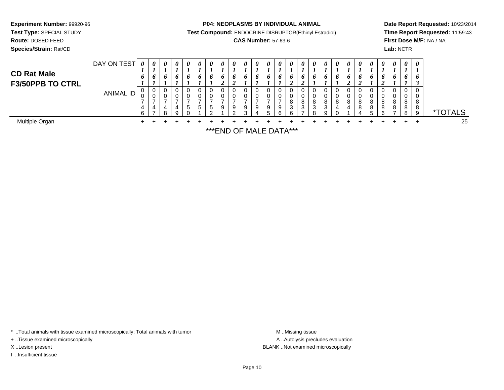**Test Type:** SPECIAL STUDY

**Route:** DOSED FEED

**Species/Strain:** Rat/CD

**P04: NEOPLASMS BY INDIVIDUAL ANIMAL**

**Test Compound:** ENDOCRINE DISRUPTOR(Ethinyl Estradiol)

### **CAS Number:** 57-63-6

**Date Report Requested:** 10/23/2014**Time Report Requested:** 11:59:43**First Dose M/F:** NA / NA**Lab:** NCTR

| <b>CD Rat Male</b><br><b>F3/50PPB TO CTRL</b> | DAY ON TEST | $\boldsymbol{\theta}$<br>o | 0<br>$\bm{b}$ | 0<br>6      | 0<br>o      | $\boldsymbol{\theta}$<br>$\bm{b}$ | 0<br>o                 | $\boldsymbol{\theta}$<br>6  | 0 | $\theta$<br>$\bm{o}$ | 0<br>o                | 0<br>o      | $\theta$<br>$\bm{o}$ | 0<br>$\bm{o}$ | 0<br>o                     | 0<br>$\bm{o}$    | $\boldsymbol{\theta}$<br>O. | $\theta$<br>o         | U<br>$\bm{o}$ | 0<br>o           | $\theta$<br>$\bm{o}$ | $\theta$<br>o | 0<br>o                          | $\boldsymbol{\theta}$<br>6 | $\boldsymbol{\theta}$<br>6 | $\boldsymbol{\theta}$<br>$\bm{o}$ |                       |
|-----------------------------------------------|-------------|----------------------------|---------------|-------------|-------------|-----------------------------------|------------------------|-----------------------------|---|----------------------|-----------------------|-------------|----------------------|---------------|----------------------------|------------------|-----------------------------|-----------------------|---------------|------------------|----------------------|---------------|---------------------------------|----------------------------|----------------------------|-----------------------------------|-----------------------|
|                                               | ANIMAL ID   | 0<br>U<br>4<br>6           | 0<br>U<br>4   | 0<br>0<br>8 | U<br>4<br>a | 5                                 | 0<br>0<br><sub>5</sub> | 0<br>0<br>$\mathbf{p}$<br>ົ | 9 | 0<br>9<br>◠          | 0<br>U<br>9<br>$\sim$ | υ<br>v<br>9 | -9<br>∽              | 9             | U<br>o<br>o<br>3<br>$\sim$ | U<br>v<br>8<br>3 | 8<br>3                      | U<br>U<br>8<br>3<br>9 | 8             | 0<br>0<br>8<br>4 | 8<br>8               | 8             | 0<br>0<br>8<br>8<br>$\sim$<br>h | 0<br>0<br>8<br>8           | 8<br>8                     | 0<br>0<br>8<br>8<br>9             | <i><b>*TOTALS</b></i> |
| Multiple Organ                                |             |                            |               |             |             |                                   |                        |                             |   |                      |                       |             |                      |               |                            |                  |                             |                       |               |                  |                      |               |                                 |                            |                            |                                   | 25                    |

\*\*\*END OF MALE DATA\*\*\*

\* ..Total animals with tissue examined microscopically; Total animals with tumor **M** . Missing tissue M ..Missing tissue

+ ..Tissue examined microscopically

I ..Insufficient tissue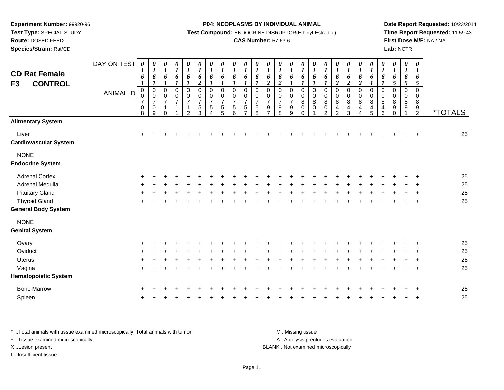**Test Type:** SPECIAL STUDY

**Route:** DOSED FEED

**Species/Strain:** Rat/CD

#### **P04: NEOPLASMS BY INDIVIDUAL ANIMAL**

**Test Compound:** ENDOCRINE DISRUPTOR(Ethinyl Estradiol)

### **CAS Number:** 57-63-6

**Date Report Requested:** 10/23/2014**Time Report Requested:** 11:59:43**First Dose M/F:** NA / NA**Lab:** NCTR

| <b>CD Rat Female</b><br><b>CONTROL</b><br>F <sub>3</sub> | DAY ON TEST<br><b>ANIMAL ID</b> | 0<br>1<br>6<br>$\boldsymbol{l}$<br>0<br>0<br>$\overline{7}$<br>$\pmb{0}$<br>8 | 0<br>$\boldsymbol{l}$<br>6<br>$\boldsymbol{l}$<br>$\pmb{0}$<br>$\pmb{0}$<br>$\overline{7}$<br>$\pmb{0}$<br>9 | 0<br>$\boldsymbol{l}$<br>6<br>$\boldsymbol{l}$<br>$\pmb{0}$<br>$\pmb{0}$<br>$\overline{7}$<br>1<br>$\Omega$ | 0<br>$\boldsymbol{l}$<br>6<br>$\boldsymbol{l}$<br>0<br>$\mathbf 0$<br>$\overline{7}$<br>$\mathbf{1}$ | $\pmb{\theta}$<br>$\boldsymbol{l}$<br>6<br>$\boldsymbol{l}$<br>$\pmb{0}$<br>$\pmb{0}$<br>$\overline{7}$<br>$\overline{1}$<br>$\overline{c}$ | 0<br>$\boldsymbol{l}$<br>6<br>$\boldsymbol{2}$<br>$\pmb{0}$<br>$\mathbf 0$<br>$\overline{7}$<br>$\sqrt{5}$<br>3 | $\boldsymbol{\theta}$<br>$\boldsymbol{l}$<br>6<br>$\boldsymbol{l}$<br>$\pmb{0}$<br>$\mathsf 0$<br>$\overline{7}$<br>$\sqrt{5}$<br>4 | 0<br>$\boldsymbol{l}$<br>6<br>1<br>0<br>0<br>$\overline{7}$<br>5<br>5 | $\pmb{\theta}$<br>$\boldsymbol{l}$<br>6<br>$\boldsymbol{l}$<br>0<br>$\mathbf 0$<br>$\overline{7}$<br>5<br>6 | $\boldsymbol{\theta}$<br>$\boldsymbol{l}$<br>6<br>$\boldsymbol{l}$<br>0<br>$\pmb{0}$<br>$\overline{7}$<br>5<br>$\overline{7}$ | $\begin{matrix} 0 \\ 1 \end{matrix}$<br>6<br>$\boldsymbol{l}$<br>$\pmb{0}$<br>$\pmb{0}$<br>$\overline{7}$<br>$\sqrt{5}$<br>8 | $\pmb{\theta}$<br>$\boldsymbol{l}$<br>6<br>$\overline{2}$<br>0<br>$\mathbf 0$<br>$\overline{7}$<br>$\boldsymbol{9}$<br>$\overline{7}$ | 0<br>$\boldsymbol{l}$<br>6<br>$\overline{2}$<br>$\,0\,$<br>$\pmb{0}$<br>$\overline{7}$<br>$\boldsymbol{9}$<br>8 | 0<br>$\boldsymbol{l}$<br>6<br>$\mathbf 0$<br>$\pmb{0}$<br>$\overline{7}$<br>$\boldsymbol{9}$<br>9 | 0<br>$\boldsymbol{l}$<br>6<br>0<br>$\pmb{0}$<br>$\bf 8$<br>$\pmb{0}$<br>$\Omega$ | $\boldsymbol{\theta}$<br>$\boldsymbol{l}$<br>6<br>$\boldsymbol{l}$<br>0<br>$\pmb{0}$<br>$\bf 8$<br>$\mathbf 0$ | 0<br>$\boldsymbol{l}$<br>6<br>$\boldsymbol{l}$<br>0<br>$\pmb{0}$<br>8<br>$\pmb{0}$<br>$\overline{2}$ | 0<br>$\boldsymbol{l}$<br>6<br>$\boldsymbol{2}$<br>$\mathbf 0$<br>$\mathbf 0$<br>8<br>4<br>$\overline{2}$ | 0<br>$\boldsymbol{l}$<br>6<br>$\overline{2}$<br>0<br>$\pmb{0}$<br>$\bf 8$<br>4<br>3 | 0<br>$\boldsymbol{l}$<br>6<br>$\boldsymbol{2}$<br>$\pmb{0}$<br>$\pmb{0}$<br>$\bf 8$<br>4<br>4 | 0<br>$\boldsymbol{l}$<br>6<br>$\boldsymbol{l}$<br>$\,0\,$<br>0<br>8<br>$\overline{4}$<br>5 | $\boldsymbol{\theta}$<br>$\boldsymbol{l}$<br>6<br>$\boldsymbol{l}$<br>0<br>$\pmb{0}$<br>8<br>4<br>6 | 0<br>$\boldsymbol{l}$<br>6<br>5<br>0<br>0<br>8<br>9<br>$\Omega$ | $\boldsymbol{\theta}$<br>$\boldsymbol{l}$<br>6<br>5<br>$\mathbf 0$<br>$\pmb{0}$<br>$\bf 8$<br>9 | $\boldsymbol{\theta}$<br>$\boldsymbol{l}$<br>6<br>5<br>$\mathbf 0$<br>$\mathbf 0$<br>8<br>9<br>$\overline{2}$ | <i><b>*TOTALS</b></i> |
|----------------------------------------------------------|---------------------------------|-------------------------------------------------------------------------------|--------------------------------------------------------------------------------------------------------------|-------------------------------------------------------------------------------------------------------------|------------------------------------------------------------------------------------------------------|---------------------------------------------------------------------------------------------------------------------------------------------|-----------------------------------------------------------------------------------------------------------------|-------------------------------------------------------------------------------------------------------------------------------------|-----------------------------------------------------------------------|-------------------------------------------------------------------------------------------------------------|-------------------------------------------------------------------------------------------------------------------------------|------------------------------------------------------------------------------------------------------------------------------|---------------------------------------------------------------------------------------------------------------------------------------|-----------------------------------------------------------------------------------------------------------------|---------------------------------------------------------------------------------------------------|----------------------------------------------------------------------------------|----------------------------------------------------------------------------------------------------------------|------------------------------------------------------------------------------------------------------|----------------------------------------------------------------------------------------------------------|-------------------------------------------------------------------------------------|-----------------------------------------------------------------------------------------------|--------------------------------------------------------------------------------------------|-----------------------------------------------------------------------------------------------------|-----------------------------------------------------------------|-------------------------------------------------------------------------------------------------|---------------------------------------------------------------------------------------------------------------|-----------------------|
| <b>Alimentary System</b>                                 |                                 |                                                                               |                                                                                                              |                                                                                                             |                                                                                                      |                                                                                                                                             |                                                                                                                 |                                                                                                                                     |                                                                       |                                                                                                             |                                                                                                                               |                                                                                                                              |                                                                                                                                       |                                                                                                                 |                                                                                                   |                                                                                  |                                                                                                                |                                                                                                      |                                                                                                          |                                                                                     |                                                                                               |                                                                                            |                                                                                                     |                                                                 |                                                                                                 |                                                                                                               |                       |
| Liver<br><b>Cardiovascular System</b>                    |                                 | $\ddot{}$                                                                     |                                                                                                              |                                                                                                             |                                                                                                      |                                                                                                                                             |                                                                                                                 |                                                                                                                                     |                                                                       |                                                                                                             |                                                                                                                               |                                                                                                                              |                                                                                                                                       |                                                                                                                 |                                                                                                   |                                                                                  |                                                                                                                |                                                                                                      |                                                                                                          |                                                                                     |                                                                                               |                                                                                            |                                                                                                     |                                                                 |                                                                                                 |                                                                                                               | 25                    |
| <b>NONE</b><br><b>Endocrine System</b>                   |                                 |                                                                               |                                                                                                              |                                                                                                             |                                                                                                      |                                                                                                                                             |                                                                                                                 |                                                                                                                                     |                                                                       |                                                                                                             |                                                                                                                               |                                                                                                                              |                                                                                                                                       |                                                                                                                 |                                                                                                   |                                                                                  |                                                                                                                |                                                                                                      |                                                                                                          |                                                                                     |                                                                                               |                                                                                            |                                                                                                     |                                                                 |                                                                                                 |                                                                                                               |                       |
| <b>Adrenal Cortex</b>                                    |                                 |                                                                               |                                                                                                              |                                                                                                             |                                                                                                      |                                                                                                                                             |                                                                                                                 |                                                                                                                                     |                                                                       |                                                                                                             |                                                                                                                               |                                                                                                                              |                                                                                                                                       |                                                                                                                 |                                                                                                   |                                                                                  |                                                                                                                |                                                                                                      |                                                                                                          |                                                                                     |                                                                                               |                                                                                            |                                                                                                     |                                                                 |                                                                                                 |                                                                                                               | 25                    |
| Adrenal Medulla                                          |                                 |                                                                               |                                                                                                              |                                                                                                             |                                                                                                      |                                                                                                                                             |                                                                                                                 |                                                                                                                                     |                                                                       |                                                                                                             |                                                                                                                               |                                                                                                                              |                                                                                                                                       |                                                                                                                 |                                                                                                   |                                                                                  |                                                                                                                |                                                                                                      |                                                                                                          |                                                                                     |                                                                                               |                                                                                            |                                                                                                     |                                                                 |                                                                                                 |                                                                                                               | 25                    |
| <b>Pituitary Gland</b>                                   |                                 |                                                                               |                                                                                                              |                                                                                                             |                                                                                                      |                                                                                                                                             |                                                                                                                 |                                                                                                                                     |                                                                       |                                                                                                             |                                                                                                                               |                                                                                                                              |                                                                                                                                       |                                                                                                                 |                                                                                                   |                                                                                  |                                                                                                                |                                                                                                      |                                                                                                          |                                                                                     |                                                                                               |                                                                                            |                                                                                                     |                                                                 |                                                                                                 |                                                                                                               | 25                    |
| <b>Thyroid Gland</b>                                     |                                 | ÷                                                                             |                                                                                                              |                                                                                                             |                                                                                                      |                                                                                                                                             |                                                                                                                 |                                                                                                                                     |                                                                       |                                                                                                             |                                                                                                                               |                                                                                                                              |                                                                                                                                       |                                                                                                                 |                                                                                                   |                                                                                  |                                                                                                                |                                                                                                      |                                                                                                          |                                                                                     |                                                                                               |                                                                                            |                                                                                                     |                                                                 |                                                                                                 | $\overline{1}$                                                                                                | 25                    |
| <b>General Body System</b>                               |                                 |                                                                               |                                                                                                              |                                                                                                             |                                                                                                      |                                                                                                                                             |                                                                                                                 |                                                                                                                                     |                                                                       |                                                                                                             |                                                                                                                               |                                                                                                                              |                                                                                                                                       |                                                                                                                 |                                                                                                   |                                                                                  |                                                                                                                |                                                                                                      |                                                                                                          |                                                                                     |                                                                                               |                                                                                            |                                                                                                     |                                                                 |                                                                                                 |                                                                                                               |                       |
| <b>NONE</b>                                              |                                 |                                                                               |                                                                                                              |                                                                                                             |                                                                                                      |                                                                                                                                             |                                                                                                                 |                                                                                                                                     |                                                                       |                                                                                                             |                                                                                                                               |                                                                                                                              |                                                                                                                                       |                                                                                                                 |                                                                                                   |                                                                                  |                                                                                                                |                                                                                                      |                                                                                                          |                                                                                     |                                                                                               |                                                                                            |                                                                                                     |                                                                 |                                                                                                 |                                                                                                               |                       |
| <b>Genital System</b>                                    |                                 |                                                                               |                                                                                                              |                                                                                                             |                                                                                                      |                                                                                                                                             |                                                                                                                 |                                                                                                                                     |                                                                       |                                                                                                             |                                                                                                                               |                                                                                                                              |                                                                                                                                       |                                                                                                                 |                                                                                                   |                                                                                  |                                                                                                                |                                                                                                      |                                                                                                          |                                                                                     |                                                                                               |                                                                                            |                                                                                                     |                                                                 |                                                                                                 |                                                                                                               |                       |
| Ovary                                                    |                                 |                                                                               |                                                                                                              |                                                                                                             |                                                                                                      |                                                                                                                                             |                                                                                                                 |                                                                                                                                     |                                                                       |                                                                                                             |                                                                                                                               |                                                                                                                              |                                                                                                                                       |                                                                                                                 |                                                                                                   |                                                                                  |                                                                                                                |                                                                                                      |                                                                                                          |                                                                                     |                                                                                               |                                                                                            |                                                                                                     |                                                                 |                                                                                                 |                                                                                                               | 25                    |
| Oviduct                                                  |                                 |                                                                               |                                                                                                              |                                                                                                             |                                                                                                      |                                                                                                                                             |                                                                                                                 |                                                                                                                                     |                                                                       |                                                                                                             |                                                                                                                               |                                                                                                                              |                                                                                                                                       |                                                                                                                 |                                                                                                   |                                                                                  |                                                                                                                |                                                                                                      |                                                                                                          |                                                                                     |                                                                                               |                                                                                            |                                                                                                     |                                                                 |                                                                                                 |                                                                                                               | 25                    |
| <b>Uterus</b>                                            |                                 |                                                                               |                                                                                                              |                                                                                                             |                                                                                                      |                                                                                                                                             |                                                                                                                 |                                                                                                                                     |                                                                       |                                                                                                             |                                                                                                                               |                                                                                                                              |                                                                                                                                       |                                                                                                                 |                                                                                                   |                                                                                  |                                                                                                                |                                                                                                      |                                                                                                          |                                                                                     |                                                                                               |                                                                                            |                                                                                                     |                                                                 |                                                                                                 |                                                                                                               | 25                    |
| Vagina                                                   |                                 | $+$                                                                           |                                                                                                              |                                                                                                             |                                                                                                      |                                                                                                                                             |                                                                                                                 |                                                                                                                                     |                                                                       |                                                                                                             |                                                                                                                               |                                                                                                                              |                                                                                                                                       |                                                                                                                 |                                                                                                   |                                                                                  |                                                                                                                |                                                                                                      |                                                                                                          |                                                                                     |                                                                                               |                                                                                            |                                                                                                     |                                                                 |                                                                                                 | $\overline{1}$                                                                                                | 25                    |
| <b>Hematopoietic System</b>                              |                                 |                                                                               |                                                                                                              |                                                                                                             |                                                                                                      |                                                                                                                                             |                                                                                                                 |                                                                                                                                     |                                                                       |                                                                                                             |                                                                                                                               |                                                                                                                              |                                                                                                                                       |                                                                                                                 |                                                                                                   |                                                                                  |                                                                                                                |                                                                                                      |                                                                                                          |                                                                                     |                                                                                               |                                                                                            |                                                                                                     |                                                                 |                                                                                                 |                                                                                                               |                       |
| <b>Bone Marrow</b>                                       |                                 |                                                                               |                                                                                                              |                                                                                                             |                                                                                                      |                                                                                                                                             |                                                                                                                 |                                                                                                                                     |                                                                       |                                                                                                             |                                                                                                                               |                                                                                                                              |                                                                                                                                       |                                                                                                                 |                                                                                                   |                                                                                  |                                                                                                                |                                                                                                      |                                                                                                          |                                                                                     |                                                                                               |                                                                                            |                                                                                                     |                                                                 |                                                                                                 |                                                                                                               | 25                    |
| Spleen                                                   |                                 |                                                                               |                                                                                                              |                                                                                                             |                                                                                                      |                                                                                                                                             |                                                                                                                 |                                                                                                                                     |                                                                       |                                                                                                             |                                                                                                                               |                                                                                                                              |                                                                                                                                       |                                                                                                                 |                                                                                                   |                                                                                  |                                                                                                                |                                                                                                      |                                                                                                          |                                                                                     |                                                                                               |                                                                                            |                                                                                                     |                                                                 |                                                                                                 |                                                                                                               | 25                    |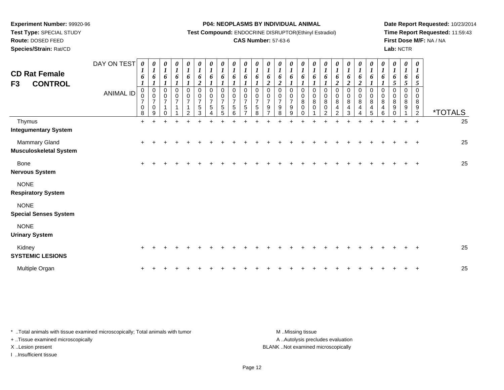**Test Type:** SPECIAL STUDY

**Route:** DOSED FEED

**Species/Strain:** Rat/CD

#### **P04: NEOPLASMS BY INDIVIDUAL ANIMAL**

**Test Compound:** ENDOCRINE DISRUPTOR(Ethinyl Estradiol)

### **CAS Number:** 57-63-6

**Date Report Requested:** 10/23/2014**Time Report Requested:** 11:59:43**First Dose M/F:** NA / NA**Lab:** NCTR

| <b>CD Rat Female</b><br><b>CONTROL</b><br>F3   | DAY ON TEST<br><b>ANIMAL ID</b> | 0<br>$\boldsymbol{l}$<br>6<br>$\boldsymbol{\mathit{I}}$<br>$\mathbf 0$<br>0<br>$\overline{7}$<br>$\mathbf 0$<br>8 | $\boldsymbol{\theta}$<br>$\boldsymbol{l}$<br>6<br>$\boldsymbol{l}$<br>$\mathbf 0$<br>$\pmb{0}$<br>$\overline{7}$<br>$\mathbf 0$<br>9 | $\frac{\theta}{I}$<br>6<br>$\boldsymbol{l}$<br>0<br>$\pmb{0}$<br>$\boldsymbol{7}$<br>$\mathbf 1$<br>$\Omega$ | $\begin{matrix} 0 \\ 1 \end{matrix}$<br>6<br>$\pmb{0}$<br>$\pmb{0}$<br>$\boldsymbol{7}$ | $\boldsymbol{\theta}$<br>$\boldsymbol{I}$<br>6<br>0<br>$\boldsymbol{0}$<br>$\overline{7}$<br>$\mathbf{1}$<br>$\mathcal{P}$ | 0<br>$\boldsymbol{l}$<br>6<br>$\boldsymbol{2}$<br>$\mathbf 0$<br>$\mathbf 0$<br>$\boldsymbol{7}$<br>5<br>3 | 0<br>$\boldsymbol{I}$<br>6<br>$\mathbf 0$<br>$\pmb{0}$<br>$\overline{7}$<br>5<br>4 | 0<br>$\boldsymbol{l}$<br>6<br>$\Omega$<br>0<br>$\overline{7}$<br>5<br>5 | $\boldsymbol{\theta}$<br>$\boldsymbol{l}$<br>6<br>$\Omega$<br>0<br>$\overline{7}$<br>5<br>6 | $\boldsymbol{\theta}$<br>$\boldsymbol{l}$<br>6<br>$\boldsymbol{l}$<br>$\Omega$<br>0<br>$\overline{7}$<br>5 | 0<br>$\boldsymbol{l}$<br>6<br>$\mathbf 0$<br>0<br>$\overline{7}$<br>$\sqrt{5}$<br>8 | 0<br>$\boldsymbol{l}$<br>6<br>$\overline{2}$<br>$\Omega$<br>0<br>$\overline{7}$<br>9 | 0<br>$\boldsymbol{l}$<br>6<br>$\boldsymbol{2}$<br>$\Omega$<br>$\pmb{0}$<br>$\boldsymbol{7}$<br>$\boldsymbol{9}$<br>8 | $\frac{\theta}{1}$<br>6<br>$\mathbf 0$<br>$\pmb{0}$<br>$\boldsymbol{7}$<br>$\boldsymbol{9}$<br>9 | $\frac{\theta}{I}$<br>6<br>$\Omega$<br>$\,0\,$<br>$\bf8$<br>$\pmb{0}$<br>$\Omega$ | $\boldsymbol{\theta}$<br>$\boldsymbol{l}$<br>6<br>$\Omega$<br>0<br>$\bf 8$<br>$\mathbf 0$ | $\boldsymbol{l}$<br>6<br>1<br>$\mathbf 0$<br>$\mathbf 0$<br>$\bf 8$<br>$\mathbf 0$<br>$\mathcal{P}$ | 0<br>$\boldsymbol{l}$<br>6<br>$\overline{c}$<br>$\mathbf 0$<br>$\pmb{0}$<br>$\bf 8$<br>4<br>$\mathcal{P}$ | 0<br>$\boldsymbol{l}$<br>6<br>$\overline{\mathbf{c}}$<br>0<br>$\pmb{0}$<br>8<br>4<br>3 | 0<br>$\boldsymbol{l}$<br>6<br>$\boldsymbol{2}$<br>0<br>$\pmb{0}$<br>$\bf 8$<br>$\overline{4}$<br>4 | 0<br>$\boldsymbol{l}$<br>6<br>$\mathbf 0$<br>$\mathbf 0$<br>8<br>4<br>5 | $\begin{matrix} 0 \\ 1 \end{matrix}$<br>6<br>$\mathbf 0$<br>$\pmb{0}$<br>$\bf 8$<br>4<br>6 | $\frac{\theta}{I}$<br>6<br>$5\overline{)}$<br>0<br>0<br>8<br>9<br>$\Omega$ | 0<br>$\boldsymbol{l}$<br>6<br>5<br>$\Omega$<br>0<br>8<br>9 | $\boldsymbol{\theta}$<br>$\boldsymbol{l}$<br>6<br>5<br>$\Omega$<br>0<br>8<br>$\boldsymbol{9}$<br>$\overline{2}$ | <i><b>*TOTALS</b></i> |
|------------------------------------------------|---------------------------------|-------------------------------------------------------------------------------------------------------------------|--------------------------------------------------------------------------------------------------------------------------------------|--------------------------------------------------------------------------------------------------------------|-----------------------------------------------------------------------------------------|----------------------------------------------------------------------------------------------------------------------------|------------------------------------------------------------------------------------------------------------|------------------------------------------------------------------------------------|-------------------------------------------------------------------------|---------------------------------------------------------------------------------------------|------------------------------------------------------------------------------------------------------------|-------------------------------------------------------------------------------------|--------------------------------------------------------------------------------------|----------------------------------------------------------------------------------------------------------------------|--------------------------------------------------------------------------------------------------|-----------------------------------------------------------------------------------|-------------------------------------------------------------------------------------------|-----------------------------------------------------------------------------------------------------|-----------------------------------------------------------------------------------------------------------|----------------------------------------------------------------------------------------|----------------------------------------------------------------------------------------------------|-------------------------------------------------------------------------|--------------------------------------------------------------------------------------------|----------------------------------------------------------------------------|------------------------------------------------------------|-----------------------------------------------------------------------------------------------------------------|-----------------------|
| Thymus<br><b>Integumentary System</b>          |                                 | $+$                                                                                                               |                                                                                                                                      |                                                                                                              |                                                                                         |                                                                                                                            |                                                                                                            |                                                                                    |                                                                         |                                                                                             |                                                                                                            |                                                                                     |                                                                                      |                                                                                                                      |                                                                                                  |                                                                                   |                                                                                           |                                                                                                     |                                                                                                           |                                                                                        |                                                                                                    |                                                                         |                                                                                            | $\ddot{}$                                                                  |                                                            | $+$                                                                                                             | 25                    |
| Mammary Gland<br><b>Musculoskeletal System</b> |                                 | $\ddot{}$                                                                                                         |                                                                                                                                      |                                                                                                              |                                                                                         |                                                                                                                            |                                                                                                            |                                                                                    |                                                                         |                                                                                             |                                                                                                            |                                                                                     |                                                                                      |                                                                                                                      |                                                                                                  |                                                                                   |                                                                                           |                                                                                                     |                                                                                                           |                                                                                        |                                                                                                    |                                                                         |                                                                                            |                                                                            |                                                            |                                                                                                                 | 25                    |
| Bone<br><b>Nervous System</b>                  |                                 | $\ddot{}$                                                                                                         |                                                                                                                                      |                                                                                                              |                                                                                         |                                                                                                                            |                                                                                                            |                                                                                    |                                                                         |                                                                                             |                                                                                                            |                                                                                     |                                                                                      |                                                                                                                      |                                                                                                  |                                                                                   |                                                                                           |                                                                                                     |                                                                                                           |                                                                                        |                                                                                                    |                                                                         |                                                                                            |                                                                            |                                                            | $\ddot{}$                                                                                                       | 25                    |
| <b>NONE</b><br><b>Respiratory System</b>       |                                 |                                                                                                                   |                                                                                                                                      |                                                                                                              |                                                                                         |                                                                                                                            |                                                                                                            |                                                                                    |                                                                         |                                                                                             |                                                                                                            |                                                                                     |                                                                                      |                                                                                                                      |                                                                                                  |                                                                                   |                                                                                           |                                                                                                     |                                                                                                           |                                                                                        |                                                                                                    |                                                                         |                                                                                            |                                                                            |                                                            |                                                                                                                 |                       |
| <b>NONE</b><br><b>Special Senses System</b>    |                                 |                                                                                                                   |                                                                                                                                      |                                                                                                              |                                                                                         |                                                                                                                            |                                                                                                            |                                                                                    |                                                                         |                                                                                             |                                                                                                            |                                                                                     |                                                                                      |                                                                                                                      |                                                                                                  |                                                                                   |                                                                                           |                                                                                                     |                                                                                                           |                                                                                        |                                                                                                    |                                                                         |                                                                                            |                                                                            |                                                            |                                                                                                                 |                       |
| <b>NONE</b><br><b>Urinary System</b>           |                                 |                                                                                                                   |                                                                                                                                      |                                                                                                              |                                                                                         |                                                                                                                            |                                                                                                            |                                                                                    |                                                                         |                                                                                             |                                                                                                            |                                                                                     |                                                                                      |                                                                                                                      |                                                                                                  |                                                                                   |                                                                                           |                                                                                                     |                                                                                                           |                                                                                        |                                                                                                    |                                                                         |                                                                                            |                                                                            |                                                            |                                                                                                                 |                       |
| Kidney<br><b>SYSTEMIC LESIONS</b>              |                                 | +                                                                                                                 |                                                                                                                                      |                                                                                                              |                                                                                         |                                                                                                                            |                                                                                                            |                                                                                    |                                                                         |                                                                                             |                                                                                                            |                                                                                     |                                                                                      |                                                                                                                      |                                                                                                  |                                                                                   |                                                                                           |                                                                                                     |                                                                                                           |                                                                                        |                                                                                                    |                                                                         |                                                                                            |                                                                            |                                                            |                                                                                                                 | 25                    |
| Multiple Organ                                 |                                 | ٠                                                                                                                 |                                                                                                                                      |                                                                                                              |                                                                                         |                                                                                                                            |                                                                                                            |                                                                                    |                                                                         |                                                                                             |                                                                                                            |                                                                                     |                                                                                      |                                                                                                                      |                                                                                                  |                                                                                   |                                                                                           |                                                                                                     |                                                                                                           |                                                                                        |                                                                                                    |                                                                         |                                                                                            |                                                                            |                                                            |                                                                                                                 | 25                    |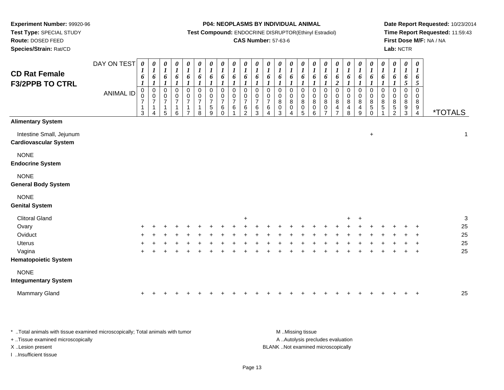**Experiment Number:** 99920-96**Test Type:** SPECIAL STUDY

**Route:** DOSED FEED

**Species/Strain:** Rat/CD

#### **P04: NEOPLASMS BY INDIVIDUAL ANIMAL**

**Test Compound:** ENDOCRINE DISRUPTOR(Ethinyl Estradiol)

### **CAS Number:** 57-63-6

**Date Report Requested:** 10/23/2014**Time Report Requested:** 11:59:43**First Dose M/F:** NA / NA**Lab:** NCTR

| <b>CD Rat Female</b><br><b>F3/2PPB TO CTRL</b>           | DAY ON TEST<br><b>ANIMAL ID</b> | $\boldsymbol{\theta}$<br>6<br>$\pmb{0}$<br>$\pmb{0}$<br>$\overline{7}$<br>$\mathbf 1$<br>$\mathbf{3}$ | 0<br>$\boldsymbol{l}$<br>6<br>$\boldsymbol{l}$<br>$\pmb{0}$<br>0<br>$\boldsymbol{7}$<br>1<br>4 | 0<br>$\boldsymbol{l}$<br>6<br>$\boldsymbol{l}$<br>$\pmb{0}$<br>0<br>$\overline{7}$<br>$\mathbf{1}$<br>5 | $\boldsymbol{\theta}$<br>$\boldsymbol{l}$<br>6<br>$\boldsymbol{l}$<br>$\overline{0}$<br>0<br>$\overline{7}$<br>$\mathbf{1}$<br>6 | 0<br>$\boldsymbol{l}$<br>6<br>$\boldsymbol{l}$<br>$\mathbf 0$<br>$\frac{0}{7}$<br>$\mathbf{1}$ | $\pmb{\theta}$<br>$\boldsymbol{l}$<br>6<br>$\boldsymbol{l}$<br>$\pmb{0}$<br>$\pmb{0}$<br>$\overline{7}$<br>1<br>8 | $\pmb{\theta}$<br>$\boldsymbol{l}$<br>6<br>$\boldsymbol{l}$<br>$\mathbf 0$<br>$\begin{array}{c} 0 \\ 7 \end{array}$<br>5<br>9 | $\pmb{\theta}$<br>$\boldsymbol{l}$<br>6<br>$\boldsymbol{l}$<br>$\mathbf 0$<br>$\frac{0}{7}$<br>6<br>$\Omega$ | $\boldsymbol{\theta}$<br>$\boldsymbol{l}$<br>6<br>$\boldsymbol{l}$<br>$\mathbf 0$<br>$\mathbf 0$<br>$\overline{7}$<br>6 | $\pmb{\theta}$<br>$\boldsymbol{l}$<br>6<br>$\boldsymbol{l}$<br>$\mathbf 0$<br>0<br>$\overline{7}$<br>6<br>$\mathfrak{p}$ | 0<br>$\boldsymbol{l}$<br>6<br>$\boldsymbol{l}$<br>$\mathbf 0$<br>0<br>$\overline{7}$<br>$\,6\,$<br>3 | $\frac{\theta}{I}$<br>6<br>$\Omega$<br>0<br>$\overline{7}$<br>$\,6\,$<br>$\overline{\mathbf{4}}$ | 0<br>$\boldsymbol{l}$<br>6<br>0<br>0<br>$\overline{8}$<br>$\pmb{0}$<br>3 | $\boldsymbol{\theta}$<br>$\boldsymbol{l}$<br>6<br>$\boldsymbol{l}$<br>$\mathbf 0$<br>$\mathbf 0$<br>$\overline{8}$<br>$\pmb{0}$<br>4 | 0<br>$\boldsymbol{l}$<br>6<br>$\boldsymbol{l}$<br>$\mathbf 0$<br>0<br>8<br>$\mathsf 0$<br>5 | $\boldsymbol{\theta}$<br>$\boldsymbol{l}$<br>6<br>$\boldsymbol{l}$<br>$\pmb{0}$<br>0<br>$\bf 8$<br>$\pmb{0}$<br>6 | $\boldsymbol{\theta}$<br>$\boldsymbol{l}$<br>6<br>$\boldsymbol{l}$<br>$\mathbf 0$<br>$\mathbf 0$<br>$\overline{8}$<br>$\pmb{0}$<br>$\overline{z}$ | $\begin{matrix} 0 \\ 1 \end{matrix}$<br>6<br>$\boldsymbol{2}$<br>$\mbox{O}$<br>$\begin{array}{c} 0 \\ 8 \\ 4 \end{array}$<br>7 | $\boldsymbol{\theta}$<br>$\boldsymbol{l}$<br>6<br>$\boldsymbol{l}$<br>$\pmb{0}$<br>$_{\rm 8}^{\rm 0}$<br>$\overline{\mathbf{4}}$<br>8 | 0<br>$\boldsymbol{I}$<br>6<br>$\mathbf 0$<br>0<br>8<br>4<br>9 | $\boldsymbol{\theta}$<br>$\boldsymbol{l}$<br>6<br>$\mathbf{I}$<br>$\pmb{0}$<br>0<br>$\bf 8$<br>$\sqrt{5}$<br>$\Omega$ | 0<br>$\boldsymbol{l}$<br>6<br>1<br>$\Omega$<br>0<br>8<br>5 | 0<br>$\boldsymbol{l}$<br>6<br>$\boldsymbol{l}$<br>$\Omega$<br>0<br>8<br>$\,$ 5 $\,$<br>2 | $\boldsymbol{\theta}$<br>$\boldsymbol{l}$<br>6<br>$\overline{5}$<br>$\overline{0}$<br>0<br>8<br>$9\,$<br>3 | 0<br>$\boldsymbol{l}$<br>6<br>5<br>$\mathbf 0$<br>0<br>8<br>9<br>$\overline{4}$ | <i><b>*TOTALS</b></i> |
|----------------------------------------------------------|---------------------------------|-------------------------------------------------------------------------------------------------------|------------------------------------------------------------------------------------------------|---------------------------------------------------------------------------------------------------------|----------------------------------------------------------------------------------------------------------------------------------|------------------------------------------------------------------------------------------------|-------------------------------------------------------------------------------------------------------------------|-------------------------------------------------------------------------------------------------------------------------------|--------------------------------------------------------------------------------------------------------------|-------------------------------------------------------------------------------------------------------------------------|--------------------------------------------------------------------------------------------------------------------------|------------------------------------------------------------------------------------------------------|--------------------------------------------------------------------------------------------------|--------------------------------------------------------------------------|--------------------------------------------------------------------------------------------------------------------------------------|---------------------------------------------------------------------------------------------|-------------------------------------------------------------------------------------------------------------------|---------------------------------------------------------------------------------------------------------------------------------------------------|--------------------------------------------------------------------------------------------------------------------------------|---------------------------------------------------------------------------------------------------------------------------------------|---------------------------------------------------------------|-----------------------------------------------------------------------------------------------------------------------|------------------------------------------------------------|------------------------------------------------------------------------------------------|------------------------------------------------------------------------------------------------------------|---------------------------------------------------------------------------------|-----------------------|
| <b>Alimentary System</b>                                 |                                 |                                                                                                       |                                                                                                |                                                                                                         |                                                                                                                                  |                                                                                                |                                                                                                                   |                                                                                                                               |                                                                                                              |                                                                                                                         |                                                                                                                          |                                                                                                      |                                                                                                  |                                                                          |                                                                                                                                      |                                                                                             |                                                                                                                   |                                                                                                                                                   |                                                                                                                                |                                                                                                                                       |                                                               |                                                                                                                       |                                                            |                                                                                          |                                                                                                            |                                                                                 |                       |
| Intestine Small, Jejunum<br><b>Cardiovascular System</b> |                                 |                                                                                                       |                                                                                                |                                                                                                         |                                                                                                                                  |                                                                                                |                                                                                                                   |                                                                                                                               |                                                                                                              |                                                                                                                         |                                                                                                                          |                                                                                                      |                                                                                                  |                                                                          |                                                                                                                                      |                                                                                             |                                                                                                                   |                                                                                                                                                   |                                                                                                                                |                                                                                                                                       |                                                               | $\ddot{}$                                                                                                             |                                                            |                                                                                          |                                                                                                            |                                                                                 | $\mathbf{1}$          |
| <b>NONE</b><br><b>Endocrine System</b>                   |                                 |                                                                                                       |                                                                                                |                                                                                                         |                                                                                                                                  |                                                                                                |                                                                                                                   |                                                                                                                               |                                                                                                              |                                                                                                                         |                                                                                                                          |                                                                                                      |                                                                                                  |                                                                          |                                                                                                                                      |                                                                                             |                                                                                                                   |                                                                                                                                                   |                                                                                                                                |                                                                                                                                       |                                                               |                                                                                                                       |                                                            |                                                                                          |                                                                                                            |                                                                                 |                       |
| <b>NONE</b><br><b>General Body System</b>                |                                 |                                                                                                       |                                                                                                |                                                                                                         |                                                                                                                                  |                                                                                                |                                                                                                                   |                                                                                                                               |                                                                                                              |                                                                                                                         |                                                                                                                          |                                                                                                      |                                                                                                  |                                                                          |                                                                                                                                      |                                                                                             |                                                                                                                   |                                                                                                                                                   |                                                                                                                                |                                                                                                                                       |                                                               |                                                                                                                       |                                                            |                                                                                          |                                                                                                            |                                                                                 |                       |
| <b>NONE</b><br><b>Genital System</b>                     |                                 |                                                                                                       |                                                                                                |                                                                                                         |                                                                                                                                  |                                                                                                |                                                                                                                   |                                                                                                                               |                                                                                                              |                                                                                                                         |                                                                                                                          |                                                                                                      |                                                                                                  |                                                                          |                                                                                                                                      |                                                                                             |                                                                                                                   |                                                                                                                                                   |                                                                                                                                |                                                                                                                                       |                                                               |                                                                                                                       |                                                            |                                                                                          |                                                                                                            |                                                                                 |                       |
| <b>Clitoral Gland</b>                                    |                                 |                                                                                                       |                                                                                                |                                                                                                         |                                                                                                                                  |                                                                                                |                                                                                                                   |                                                                                                                               |                                                                                                              |                                                                                                                         | $\ddot{}$                                                                                                                |                                                                                                      |                                                                                                  |                                                                          |                                                                                                                                      |                                                                                             |                                                                                                                   |                                                                                                                                                   |                                                                                                                                | $\ddot{}$                                                                                                                             | $\ddot{}$                                                     |                                                                                                                       |                                                            |                                                                                          |                                                                                                            |                                                                                 | 3                     |
| Ovary                                                    |                                 |                                                                                                       |                                                                                                |                                                                                                         |                                                                                                                                  |                                                                                                |                                                                                                                   |                                                                                                                               |                                                                                                              |                                                                                                                         |                                                                                                                          |                                                                                                      |                                                                                                  |                                                                          |                                                                                                                                      |                                                                                             |                                                                                                                   |                                                                                                                                                   |                                                                                                                                |                                                                                                                                       |                                                               |                                                                                                                       |                                                            |                                                                                          |                                                                                                            |                                                                                 | 25                    |
| Oviduct                                                  |                                 |                                                                                                       |                                                                                                |                                                                                                         |                                                                                                                                  |                                                                                                |                                                                                                                   |                                                                                                                               |                                                                                                              |                                                                                                                         |                                                                                                                          |                                                                                                      |                                                                                                  |                                                                          |                                                                                                                                      |                                                                                             |                                                                                                                   |                                                                                                                                                   |                                                                                                                                |                                                                                                                                       |                                                               |                                                                                                                       |                                                            |                                                                                          |                                                                                                            |                                                                                 | 25                    |
| <b>Uterus</b>                                            |                                 |                                                                                                       |                                                                                                |                                                                                                         |                                                                                                                                  |                                                                                                |                                                                                                                   |                                                                                                                               |                                                                                                              |                                                                                                                         |                                                                                                                          |                                                                                                      |                                                                                                  |                                                                          |                                                                                                                                      |                                                                                             |                                                                                                                   |                                                                                                                                                   |                                                                                                                                |                                                                                                                                       |                                                               |                                                                                                                       |                                                            |                                                                                          |                                                                                                            |                                                                                 | 25                    |
| Vagina                                                   |                                 |                                                                                                       |                                                                                                |                                                                                                         |                                                                                                                                  |                                                                                                |                                                                                                                   |                                                                                                                               |                                                                                                              |                                                                                                                         |                                                                                                                          |                                                                                                      |                                                                                                  |                                                                          |                                                                                                                                      |                                                                                             |                                                                                                                   |                                                                                                                                                   |                                                                                                                                |                                                                                                                                       |                                                               |                                                                                                                       |                                                            |                                                                                          |                                                                                                            | $\ddot{}$                                                                       | 25                    |
| <b>Hematopoietic System</b>                              |                                 |                                                                                                       |                                                                                                |                                                                                                         |                                                                                                                                  |                                                                                                |                                                                                                                   |                                                                                                                               |                                                                                                              |                                                                                                                         |                                                                                                                          |                                                                                                      |                                                                                                  |                                                                          |                                                                                                                                      |                                                                                             |                                                                                                                   |                                                                                                                                                   |                                                                                                                                |                                                                                                                                       |                                                               |                                                                                                                       |                                                            |                                                                                          |                                                                                                            |                                                                                 |                       |
| <b>NONE</b>                                              |                                 |                                                                                                       |                                                                                                |                                                                                                         |                                                                                                                                  |                                                                                                |                                                                                                                   |                                                                                                                               |                                                                                                              |                                                                                                                         |                                                                                                                          |                                                                                                      |                                                                                                  |                                                                          |                                                                                                                                      |                                                                                             |                                                                                                                   |                                                                                                                                                   |                                                                                                                                |                                                                                                                                       |                                                               |                                                                                                                       |                                                            |                                                                                          |                                                                                                            |                                                                                 |                       |
| <b>Integumentary System</b>                              |                                 |                                                                                                       |                                                                                                |                                                                                                         |                                                                                                                                  |                                                                                                |                                                                                                                   |                                                                                                                               |                                                                                                              |                                                                                                                         |                                                                                                                          |                                                                                                      |                                                                                                  |                                                                          |                                                                                                                                      |                                                                                             |                                                                                                                   |                                                                                                                                                   |                                                                                                                                |                                                                                                                                       |                                                               |                                                                                                                       |                                                            |                                                                                          |                                                                                                            |                                                                                 |                       |
| Mammary Gland                                            |                                 |                                                                                                       |                                                                                                |                                                                                                         |                                                                                                                                  |                                                                                                |                                                                                                                   |                                                                                                                               |                                                                                                              |                                                                                                                         |                                                                                                                          |                                                                                                      |                                                                                                  |                                                                          |                                                                                                                                      |                                                                                             |                                                                                                                   |                                                                                                                                                   |                                                                                                                                |                                                                                                                                       |                                                               |                                                                                                                       |                                                            |                                                                                          |                                                                                                            |                                                                                 | 25                    |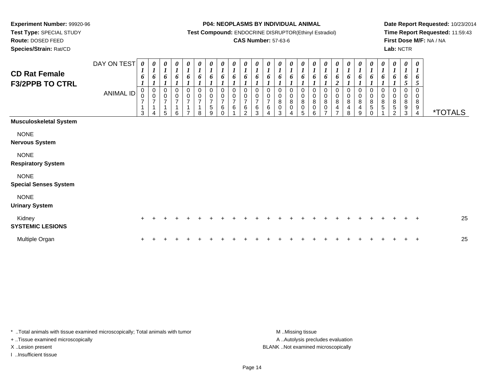**Experiment Number:** 99920-96**Test Type:** SPECIAL STUDY

**Route:** DOSED FEED

**Species/Strain:** Rat/CD

#### **P04: NEOPLASMS BY INDIVIDUAL ANIMAL**

**Test Compound:** ENDOCRINE DISRUPTOR(Ethinyl Estradiol)

### **CAS Number:** 57-63-6

**Date Report Requested:** 10/23/2014**Time Report Requested:** 11:59:43**First Dose M/F:** NA / NA**Lab:** NCTR

| <b>CD Rat Female</b><br><b>F3/2PPB TO CTRL</b> | DAY ON TEST<br>ANIMAL ID | 0<br>$\boldsymbol{l}$<br>6<br>$\,0\,$<br>$\pmb{0}$<br>$\overline{7}$<br>$\mathbf 1$<br>3 | 0<br>$\boldsymbol{l}$<br>6<br>$\begin{smallmatrix}0\\0\end{smallmatrix}$<br>$\overline{7}$<br>$\mathbf{1}$<br>4 | 0<br>$\boldsymbol{l}$<br>6<br>$\pmb{0}$<br>$\pmb{0}$<br>$\overline{7}$<br>$\overline{1}$<br>5 | 6<br>$\mathbf 0$<br>$\mathbf 0$<br>$\overline{7}$<br>6 | 0<br>6<br>$\,0\,$<br>$\mathbf 0$<br>$\overline{7}$ | 0<br>6<br>$\mathbf 0$<br>$\mathsf{O}\xspace$<br>$\overline{7}$<br>8 | 0<br>$\boldsymbol{l}$<br>6<br>0<br>$\pmb{0}$<br>$\overline{7}$<br>$\sqrt{5}$<br>9 | 0<br>$\boldsymbol{l}$<br>6<br>$\pmb{0}$<br>$\pmb{0}$<br>$\overline{7}$<br>$\,6$<br>$\Omega$ | 0<br>$\boldsymbol{l}$<br>6<br>0<br>0<br>$\overline{7}$<br>6 | 0<br>$\mathbf{I}$<br>6<br>$\mathbf 0$<br>0<br>7<br>6<br>$\mathcal{P}$ | 0<br>$\boldsymbol{l}$<br>6<br>7<br>6<br>3 | 0<br>$\mathbf{I}$<br>6<br>0<br>$\mathsf 0$<br>$\overline{7}$<br>6 | 0<br>$\boldsymbol{l}$<br>6<br>0<br>0<br>8<br>$\mathsf{O}\xspace$<br>3 | 0<br>$\boldsymbol{l}$<br>6<br>0<br>8<br>0 | 0<br>6<br>0<br>$\pmb{0}$<br>$\bf 8$<br>$\pmb{0}$<br>5 | 0<br>6<br>0<br>0<br>8<br>$\pmb{0}$<br>6 | 0<br>$\boldsymbol{l}$<br>6<br>0<br>0<br>$\bf 8$<br>0<br>$\rightarrow$ | $\boldsymbol{\theta}$<br>$\boldsymbol{I}$<br>6<br>$\boldsymbol{2}$<br>$\mathbf 0$<br>$\pmb{0}$<br>$\, 8$<br>4<br>⇁ | $\frac{\boldsymbol{\theta}}{\boldsymbol{I}}$<br>6<br>$\,0\,$<br>$_{8}^{\rm 0}$<br>$\overline{4}$<br>8 | $\boldsymbol{\theta}$<br>$\boldsymbol{l}$<br>6<br>0<br>$_{\rm 8}^{\rm 0}$<br>$\overline{\mathbf{4}}$<br>9 | $\boldsymbol{\theta}$<br>$\boldsymbol{l}$<br>6<br>0<br>$\pmb{0}$<br>$\bf 8$<br>5<br>$\Omega$ | 0<br>$\mathbf{I}$<br>6<br>$\pmb{0}$<br>$\pmb{0}$<br>8<br>5 | 0<br>$\boldsymbol{l}$<br>6<br>$\mathbf 0$<br>$\mathbf 0$<br>8<br>$\sqrt{5}$<br>2 | 0<br>$\boldsymbol{l}$<br>6<br>5<br>0<br>8<br>9<br>3 | $\boldsymbol{\theta}$<br>$\boldsymbol{l}$<br>6<br>5<br>$\mathbf 0$<br>0<br>8<br>9<br>$\overline{4}$ | <i><b>*TOTALS</b></i> |
|------------------------------------------------|--------------------------|------------------------------------------------------------------------------------------|-----------------------------------------------------------------------------------------------------------------|-----------------------------------------------------------------------------------------------|--------------------------------------------------------|----------------------------------------------------|---------------------------------------------------------------------|-----------------------------------------------------------------------------------|---------------------------------------------------------------------------------------------|-------------------------------------------------------------|-----------------------------------------------------------------------|-------------------------------------------|-------------------------------------------------------------------|-----------------------------------------------------------------------|-------------------------------------------|-------------------------------------------------------|-----------------------------------------|-----------------------------------------------------------------------|--------------------------------------------------------------------------------------------------------------------|-------------------------------------------------------------------------------------------------------|-----------------------------------------------------------------------------------------------------------|----------------------------------------------------------------------------------------------|------------------------------------------------------------|----------------------------------------------------------------------------------|-----------------------------------------------------|-----------------------------------------------------------------------------------------------------|-----------------------|
| <b>Musculoskeletal System</b>                  |                          |                                                                                          |                                                                                                                 |                                                                                               |                                                        |                                                    |                                                                     |                                                                                   |                                                                                             |                                                             |                                                                       |                                           |                                                                   |                                                                       |                                           |                                                       |                                         |                                                                       |                                                                                                                    |                                                                                                       |                                                                                                           |                                                                                              |                                                            |                                                                                  |                                                     |                                                                                                     |                       |
| <b>NONE</b><br><b>Nervous System</b>           |                          |                                                                                          |                                                                                                                 |                                                                                               |                                                        |                                                    |                                                                     |                                                                                   |                                                                                             |                                                             |                                                                       |                                           |                                                                   |                                                                       |                                           |                                                       |                                         |                                                                       |                                                                                                                    |                                                                                                       |                                                                                                           |                                                                                              |                                                            |                                                                                  |                                                     |                                                                                                     |                       |
| <b>NONE</b><br><b>Respiratory System</b>       |                          |                                                                                          |                                                                                                                 |                                                                                               |                                                        |                                                    |                                                                     |                                                                                   |                                                                                             |                                                             |                                                                       |                                           |                                                                   |                                                                       |                                           |                                                       |                                         |                                                                       |                                                                                                                    |                                                                                                       |                                                                                                           |                                                                                              |                                                            |                                                                                  |                                                     |                                                                                                     |                       |
| <b>NONE</b><br><b>Special Senses System</b>    |                          |                                                                                          |                                                                                                                 |                                                                                               |                                                        |                                                    |                                                                     |                                                                                   |                                                                                             |                                                             |                                                                       |                                           |                                                                   |                                                                       |                                           |                                                       |                                         |                                                                       |                                                                                                                    |                                                                                                       |                                                                                                           |                                                                                              |                                                            |                                                                                  |                                                     |                                                                                                     |                       |
| <b>NONE</b><br><b>Urinary System</b>           |                          |                                                                                          |                                                                                                                 |                                                                                               |                                                        |                                                    |                                                                     |                                                                                   |                                                                                             |                                                             |                                                                       |                                           |                                                                   |                                                                       |                                           |                                                       |                                         |                                                                       |                                                                                                                    |                                                                                                       |                                                                                                           |                                                                                              |                                                            |                                                                                  |                                                     |                                                                                                     |                       |
| Kidney<br><b>SYSTEMIC LESIONS</b>              |                          |                                                                                          |                                                                                                                 |                                                                                               |                                                        |                                                    |                                                                     |                                                                                   |                                                                                             |                                                             |                                                                       |                                           |                                                                   |                                                                       |                                           |                                                       |                                         |                                                                       |                                                                                                                    |                                                                                                       |                                                                                                           |                                                                                              |                                                            |                                                                                  |                                                     | $\pm$                                                                                               | 25                    |
| Multiple Organ                                 |                          |                                                                                          |                                                                                                                 |                                                                                               |                                                        |                                                    |                                                                     |                                                                                   |                                                                                             |                                                             |                                                                       |                                           |                                                                   |                                                                       |                                           |                                                       |                                         |                                                                       |                                                                                                                    |                                                                                                       |                                                                                                           |                                                                                              |                                                            |                                                                                  |                                                     | $\overline{+}$                                                                                      | 25                    |

\* ..Total animals with tissue examined microscopically; Total animals with tumor **M** . Missing tissue M ..Missing tissue + ..Tissue examined microscopically

I ..Insufficient tissue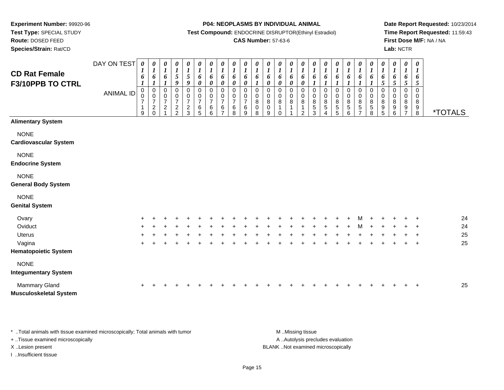**Test Type:** SPECIAL STUDY

**Route:** DOSED FEED

**Species/Strain:** Rat/CD

#### **P04: NEOPLASMS BY INDIVIDUAL ANIMAL**

**Test Compound:** ENDOCRINE DISRUPTOR(Ethinyl Estradiol)

### **CAS Number:** 57-63-6

**Date Report Requested:** 10/23/2014**Time Report Requested:** 11:59:43**First Dose M/F:** NA / NA**Lab:** NCTR

| <b>CD Rat Female</b><br>F3/10PPB TO CTRL              | DAY ON TEST<br><b>ANIMAL ID</b> | $\pmb{\theta}$<br>1<br>6<br>$\boldsymbol{l}$<br>0<br>0<br>$\overline{7}$<br>1<br>9 | 0<br>$\boldsymbol{l}$<br>6<br>$\boldsymbol{l}$<br>0<br>$\pmb{0}$<br>$\overline{7}$<br>$\overline{\mathbf{c}}$<br>$\mathbf 0$ | $\boldsymbol{\theta}$<br>$\boldsymbol{l}$<br>6<br>$\boldsymbol{l}$<br>0<br>$\pmb{0}$<br>$\overline{7}$<br>$\overline{c}$ | 0<br>$\boldsymbol{l}$<br>$\sqrt{5}$<br>9<br>0<br>$\pmb{0}$<br>$\overline{7}$<br>$\frac{2}{2}$ | 0<br>$\boldsymbol{l}$<br>$\sqrt{5}$<br>9<br>0<br>$\pmb{0}$<br>$\overline{7}$<br>$\frac{2}{3}$ | 0<br>$\boldsymbol{l}$<br>6<br>0<br>0<br>0<br>$\overline{7}$<br>6<br>5 | $\pmb{\theta}$<br>$\boldsymbol{l}$<br>6<br>$\boldsymbol{\theta}$<br>$\mathbf 0$<br>0<br>$\overline{7}$<br>6<br>6 | $\pmb{\theta}$<br>$\boldsymbol{l}$<br>6<br>$\boldsymbol{\theta}$<br>$\Omega$<br>0<br>$\overline{7}$<br>6 | $\pmb{\theta}$<br>$\boldsymbol{l}$<br>6<br>$\boldsymbol{\theta}$<br>$\Omega$<br>0<br>$\overline{7}$<br>6<br>8 | $\boldsymbol{\theta}$<br>$\boldsymbol{l}$<br>6<br>$\boldsymbol{\theta}$<br>$\mathbf 0$<br>0<br>$\overline{7}$<br>6<br>9 | 0<br>$\boldsymbol{l}$<br>6<br>0<br>0<br>8<br>$\pmb{0}$<br>8 | $\boldsymbol{\theta}$<br>$\boldsymbol{l}$<br>6<br>0<br>$\Omega$<br>0<br>$\,8\,$<br>$\pmb{0}$<br>9 | 0<br>$\boldsymbol{l}$<br>6<br>0<br>$\Omega$<br>$\pmb{0}$<br>8<br>1<br>$\mathbf 0$ | $\pmb{\theta}$<br>$\boldsymbol{l}$<br>6<br>$\boldsymbol{\theta}$<br>$\mathbf 0$<br>0<br>8<br>1 | 0<br>$\boldsymbol{l}$<br>6<br>$\pmb{\theta}$<br>0<br>0<br>8<br>1<br>$\overline{2}$ | 0<br>$\boldsymbol{l}$<br>6<br>$\boldsymbol{l}$<br>$\mathbf 0$<br>0<br>$\begin{array}{c} 8 \\ 5 \\ 3 \end{array}$ | $\pmb{\theta}$<br>$\boldsymbol{l}$<br>6<br>1<br>0<br>$\mathbf 0$<br>8<br>$\mathbf 5$ | $\begin{matrix} 0 \\ 1 \end{matrix}$<br>6<br>$\pmb{0}$<br>$\mathbf 0$<br>$\begin{array}{c}\n8 \\ 5 \\ 5\n\end{array}$ | $\pmb{\theta}$<br>$\boldsymbol{l}$<br>6<br>1<br>0<br>$\mathbf 0$<br>$\bf 8$<br>$\overline{5}$<br>6 | 0<br>$\boldsymbol{l}$<br>6<br>1<br>0<br>0<br>$\frac{8}{5}$<br>$\overline{7}$ | $\pmb{\theta}$<br>$\boldsymbol{l}$<br>6<br>1<br>$\mathbf 0$<br>$\mathbf 0$<br>8<br>$\mathbf 5$<br>8 | $\pmb{\theta}$<br>$\boldsymbol{l}$<br>6<br>5<br>$\Omega$<br>0<br>8<br>9<br>5 | 0<br>$\boldsymbol{l}$<br>6<br>5<br>$\Omega$<br>0<br>8<br>9<br>6 | $\boldsymbol{\theta}$<br>$\boldsymbol{l}$<br>6<br>$\mathfrak{s}$<br>$\mathbf 0$<br>0<br>8<br>9<br>$\overline{ }$ | $\pmb{\theta}$<br>$\boldsymbol{l}$<br>6<br>5<br>$\pmb{0}$<br>$\mathbf 0$<br>8<br>$_{8}^{\rm 9}$ | <i><b>*TOTALS</b></i> |
|-------------------------------------------------------|---------------------------------|------------------------------------------------------------------------------------|------------------------------------------------------------------------------------------------------------------------------|--------------------------------------------------------------------------------------------------------------------------|-----------------------------------------------------------------------------------------------|-----------------------------------------------------------------------------------------------|-----------------------------------------------------------------------|------------------------------------------------------------------------------------------------------------------|----------------------------------------------------------------------------------------------------------|---------------------------------------------------------------------------------------------------------------|-------------------------------------------------------------------------------------------------------------------------|-------------------------------------------------------------|---------------------------------------------------------------------------------------------------|-----------------------------------------------------------------------------------|------------------------------------------------------------------------------------------------|------------------------------------------------------------------------------------|------------------------------------------------------------------------------------------------------------------|--------------------------------------------------------------------------------------|-----------------------------------------------------------------------------------------------------------------------|----------------------------------------------------------------------------------------------------|------------------------------------------------------------------------------|-----------------------------------------------------------------------------------------------------|------------------------------------------------------------------------------|-----------------------------------------------------------------|------------------------------------------------------------------------------------------------------------------|-------------------------------------------------------------------------------------------------|-----------------------|
| <b>Alimentary System</b>                              |                                 |                                                                                    |                                                                                                                              |                                                                                                                          |                                                                                               |                                                                                               |                                                                       |                                                                                                                  |                                                                                                          |                                                                                                               |                                                                                                                         |                                                             |                                                                                                   |                                                                                   |                                                                                                |                                                                                    |                                                                                                                  |                                                                                      |                                                                                                                       |                                                                                                    |                                                                              |                                                                                                     |                                                                              |                                                                 |                                                                                                                  |                                                                                                 |                       |
| <b>NONE</b><br><b>Cardiovascular System</b>           |                                 |                                                                                    |                                                                                                                              |                                                                                                                          |                                                                                               |                                                                                               |                                                                       |                                                                                                                  |                                                                                                          |                                                                                                               |                                                                                                                         |                                                             |                                                                                                   |                                                                                   |                                                                                                |                                                                                    |                                                                                                                  |                                                                                      |                                                                                                                       |                                                                                                    |                                                                              |                                                                                                     |                                                                              |                                                                 |                                                                                                                  |                                                                                                 |                       |
| <b>NONE</b><br><b>Endocrine System</b>                |                                 |                                                                                    |                                                                                                                              |                                                                                                                          |                                                                                               |                                                                                               |                                                                       |                                                                                                                  |                                                                                                          |                                                                                                               |                                                                                                                         |                                                             |                                                                                                   |                                                                                   |                                                                                                |                                                                                    |                                                                                                                  |                                                                                      |                                                                                                                       |                                                                                                    |                                                                              |                                                                                                     |                                                                              |                                                                 |                                                                                                                  |                                                                                                 |                       |
| <b>NONE</b><br><b>General Body System</b>             |                                 |                                                                                    |                                                                                                                              |                                                                                                                          |                                                                                               |                                                                                               |                                                                       |                                                                                                                  |                                                                                                          |                                                                                                               |                                                                                                                         |                                                             |                                                                                                   |                                                                                   |                                                                                                |                                                                                    |                                                                                                                  |                                                                                      |                                                                                                                       |                                                                                                    |                                                                              |                                                                                                     |                                                                              |                                                                 |                                                                                                                  |                                                                                                 |                       |
| <b>NONE</b><br><b>Genital System</b>                  |                                 |                                                                                    |                                                                                                                              |                                                                                                                          |                                                                                               |                                                                                               |                                                                       |                                                                                                                  |                                                                                                          |                                                                                                               |                                                                                                                         |                                                             |                                                                                                   |                                                                                   |                                                                                                |                                                                                    |                                                                                                                  |                                                                                      |                                                                                                                       |                                                                                                    |                                                                              |                                                                                                     |                                                                              |                                                                 |                                                                                                                  |                                                                                                 |                       |
| Ovary                                                 |                                 |                                                                                    |                                                                                                                              |                                                                                                                          |                                                                                               |                                                                                               |                                                                       |                                                                                                                  |                                                                                                          |                                                                                                               |                                                                                                                         |                                                             |                                                                                                   |                                                                                   |                                                                                                |                                                                                    |                                                                                                                  |                                                                                      |                                                                                                                       |                                                                                                    |                                                                              |                                                                                                     |                                                                              |                                                                 |                                                                                                                  |                                                                                                 | 24                    |
| Oviduct                                               |                                 |                                                                                    |                                                                                                                              |                                                                                                                          |                                                                                               |                                                                                               |                                                                       |                                                                                                                  |                                                                                                          |                                                                                                               |                                                                                                                         |                                                             |                                                                                                   |                                                                                   |                                                                                                |                                                                                    |                                                                                                                  |                                                                                      |                                                                                                                       |                                                                                                    |                                                                              |                                                                                                     |                                                                              |                                                                 |                                                                                                                  | $\ddot{}$                                                                                       | 24                    |
| Uterus                                                |                                 |                                                                                    |                                                                                                                              |                                                                                                                          |                                                                                               |                                                                                               |                                                                       |                                                                                                                  |                                                                                                          |                                                                                                               |                                                                                                                         |                                                             |                                                                                                   |                                                                                   |                                                                                                |                                                                                    |                                                                                                                  |                                                                                      |                                                                                                                       |                                                                                                    |                                                                              |                                                                                                     |                                                                              |                                                                 |                                                                                                                  |                                                                                                 | 25                    |
| Vagina                                                |                                 |                                                                                    |                                                                                                                              |                                                                                                                          |                                                                                               |                                                                                               |                                                                       |                                                                                                                  |                                                                                                          |                                                                                                               |                                                                                                                         |                                                             |                                                                                                   |                                                                                   |                                                                                                |                                                                                    |                                                                                                                  |                                                                                      |                                                                                                                       |                                                                                                    |                                                                              |                                                                                                     |                                                                              |                                                                 |                                                                                                                  | $\ddot{}$                                                                                       | 25                    |
| <b>Hematopoietic System</b>                           |                                 |                                                                                    |                                                                                                                              |                                                                                                                          |                                                                                               |                                                                                               |                                                                       |                                                                                                                  |                                                                                                          |                                                                                                               |                                                                                                                         |                                                             |                                                                                                   |                                                                                   |                                                                                                |                                                                                    |                                                                                                                  |                                                                                      |                                                                                                                       |                                                                                                    |                                                                              |                                                                                                     |                                                                              |                                                                 |                                                                                                                  |                                                                                                 |                       |
| <b>NONE</b><br><b>Integumentary System</b>            |                                 |                                                                                    |                                                                                                                              |                                                                                                                          |                                                                                               |                                                                                               |                                                                       |                                                                                                                  |                                                                                                          |                                                                                                               |                                                                                                                         |                                                             |                                                                                                   |                                                                                   |                                                                                                |                                                                                    |                                                                                                                  |                                                                                      |                                                                                                                       |                                                                                                    |                                                                              |                                                                                                     |                                                                              |                                                                 |                                                                                                                  |                                                                                                 |                       |
| <b>Mammary Gland</b><br><b>Musculoskeletal System</b> |                                 |                                                                                    |                                                                                                                              |                                                                                                                          |                                                                                               |                                                                                               |                                                                       |                                                                                                                  |                                                                                                          |                                                                                                               |                                                                                                                         |                                                             |                                                                                                   |                                                                                   |                                                                                                |                                                                                    |                                                                                                                  |                                                                                      |                                                                                                                       |                                                                                                    |                                                                              |                                                                                                     |                                                                              |                                                                 |                                                                                                                  | $\ddot{}$                                                                                       | 25                    |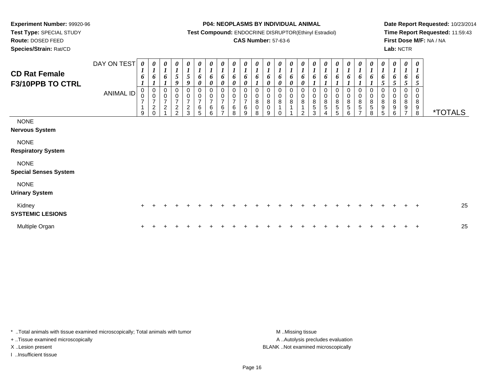**Test Type:** SPECIAL STUDY

**Route:** DOSED FEED

**Species/Strain:** Rat/CD

#### **P04: NEOPLASMS BY INDIVIDUAL ANIMAL**

**Test Compound:** ENDOCRINE DISRUPTOR(Ethinyl Estradiol)

### **CAS Number:** 57-63-6

**Date Report Requested:** 10/23/2014**Time Report Requested:** 11:59:43**First Dose M/F:** NA / NA**Lab:** NCTR

| <b>CD Rat Female</b><br>F3/10PPB TO CTRL    | DAY ON TEST<br>ANIMAL ID | 0<br>6<br>0<br>$\mathsf 0$<br>$\overline{ }$<br>9 | 0<br>$\boldsymbol{l}$<br>6<br>0<br>$\mathbf 0$<br>$\overline{7}$<br>$\frac{2}{0}$ | 1<br>6<br>0<br>$\overline{7}$<br>$\boldsymbol{2}$ | 0<br>$\mathfrak{s}$<br>9<br>0<br>$\pmb{0}$<br>$\overline{7}$<br>$\frac{2}{2}$ | 0<br>$\boldsymbol{l}$<br>5 <sup>5</sup><br>9<br>0<br>$\frac{0}{7}$<br>$\frac{2}{3}$ | 0<br>$\boldsymbol{l}$<br>6<br>0<br>0<br>$\frac{0}{7}$<br>$\,6$<br>5 | 0<br>$\boldsymbol{l}$<br>6<br>$\boldsymbol{\theta}$<br>0<br>$\pmb{0}$<br>$\overline{7}$<br>$\,6\,$<br>6 | 0<br>$\boldsymbol{l}$<br>6<br>$\pmb{\theta}$<br>$\pmb{0}$<br>$\frac{0}{7}$<br>$\,6$<br>$\overline{ }$ | $\boldsymbol{\theta}$<br>$\boldsymbol{l}$<br>6<br>$\boldsymbol{\theta}$<br>0<br>$\,0\,$<br>$\overline{7}$<br>$\,6\,$<br>8 | $\boldsymbol{l}$<br>6<br>0<br>0<br>$\overline{7}$<br>6<br>9 | 0<br>6<br>0<br>$\bf 8$<br>0<br>8 | 0<br>6<br>0<br>0<br>8<br>0<br>9 | 0<br>1<br>6<br>0<br>0<br>0<br>8<br>0 | $\boldsymbol{\theta}$<br>$\boldsymbol{l}$<br>6<br>$\boldsymbol{\theta}$<br>$\pmb{0}$<br>$\bf 8$<br>$\mathbf{1}$ | 0<br>6<br>$\pmb{\theta}$<br>0<br>$\mathbf 0$<br>$\overline{8}$<br>$\mathfrak{p}$ | 0<br>$\boldsymbol{l}$<br>6<br>0<br>$\pmb{0}$<br>$\bf 8$<br>5<br>3 | 0<br>$\boldsymbol{l}$<br>6<br>$\,0\,$<br>$\frac{8}{5}$ | $\mathbf{I}$<br>o<br>$_{\rm 8}^{\rm 0}$<br>5<br>5 | 0<br>6<br>0<br>$\begin{array}{c} 0 \\ 8 \\ 5 \end{array}$<br>6 | 0<br>6<br>0<br>$\pmb{0}$<br>$\bf 8$<br>$\mathbf 5$<br>$\overline{ }$ | 0<br>$\boldsymbol{l}$<br>6<br>$\mathbf 0$<br>$\,0\,$<br>$\bf8$<br>5<br>8 | 0<br>6<br>5<br>0<br>0<br>$\, 8$<br>9<br>5 | 0<br>$\boldsymbol{l}$<br>6<br>5<br>0<br>8<br>9<br>6 | $\boldsymbol{\theta}$<br>6<br>5<br>0<br>$\bf 8$<br>9 | $\boldsymbol{\theta}$<br>$\boldsymbol{l}$<br>6<br>5<br>$\mathbf 0$<br>$\mathbf 0$<br>$\bf8$<br>9<br>8 | <i><b>*TOTALS</b></i> |
|---------------------------------------------|--------------------------|---------------------------------------------------|-----------------------------------------------------------------------------------|---------------------------------------------------|-------------------------------------------------------------------------------|-------------------------------------------------------------------------------------|---------------------------------------------------------------------|---------------------------------------------------------------------------------------------------------|-------------------------------------------------------------------------------------------------------|---------------------------------------------------------------------------------------------------------------------------|-------------------------------------------------------------|----------------------------------|---------------------------------|--------------------------------------|-----------------------------------------------------------------------------------------------------------------|----------------------------------------------------------------------------------|-------------------------------------------------------------------|--------------------------------------------------------|---------------------------------------------------|----------------------------------------------------------------|----------------------------------------------------------------------|--------------------------------------------------------------------------|-------------------------------------------|-----------------------------------------------------|------------------------------------------------------|-------------------------------------------------------------------------------------------------------|-----------------------|
| <b>NONE</b><br><b>Nervous System</b>        |                          |                                                   |                                                                                   |                                                   |                                                                               |                                                                                     |                                                                     |                                                                                                         |                                                                                                       |                                                                                                                           |                                                             |                                  |                                 |                                      |                                                                                                                 |                                                                                  |                                                                   |                                                        |                                                   |                                                                |                                                                      |                                                                          |                                           |                                                     |                                                      |                                                                                                       |                       |
| <b>NONE</b><br><b>Respiratory System</b>    |                          |                                                   |                                                                                   |                                                   |                                                                               |                                                                                     |                                                                     |                                                                                                         |                                                                                                       |                                                                                                                           |                                                             |                                  |                                 |                                      |                                                                                                                 |                                                                                  |                                                                   |                                                        |                                                   |                                                                |                                                                      |                                                                          |                                           |                                                     |                                                      |                                                                                                       |                       |
| <b>NONE</b><br><b>Special Senses System</b> |                          |                                                   |                                                                                   |                                                   |                                                                               |                                                                                     |                                                                     |                                                                                                         |                                                                                                       |                                                                                                                           |                                                             |                                  |                                 |                                      |                                                                                                                 |                                                                                  |                                                                   |                                                        |                                                   |                                                                |                                                                      |                                                                          |                                           |                                                     |                                                      |                                                                                                       |                       |
| <b>NONE</b><br><b>Urinary System</b>        |                          |                                                   |                                                                                   |                                                   |                                                                               |                                                                                     |                                                                     |                                                                                                         |                                                                                                       |                                                                                                                           |                                                             |                                  |                                 |                                      |                                                                                                                 |                                                                                  |                                                                   |                                                        |                                                   |                                                                |                                                                      |                                                                          |                                           |                                                     |                                                      |                                                                                                       |                       |
| Kidney<br><b>SYSTEMIC LESIONS</b>           |                          | $\pm$                                             |                                                                                   |                                                   |                                                                               |                                                                                     |                                                                     |                                                                                                         |                                                                                                       |                                                                                                                           |                                                             |                                  |                                 |                                      |                                                                                                                 |                                                                                  |                                                                   |                                                        |                                                   |                                                                |                                                                      |                                                                          |                                           |                                                     |                                                      |                                                                                                       | 25                    |
| Multiple Organ                              |                          | $\ddot{}$                                         |                                                                                   |                                                   |                                                                               |                                                                                     |                                                                     |                                                                                                         |                                                                                                       |                                                                                                                           |                                                             |                                  |                                 |                                      |                                                                                                                 |                                                                                  |                                                                   |                                                        |                                                   |                                                                |                                                                      |                                                                          |                                           |                                                     |                                                      |                                                                                                       | 25                    |

\* ..Total animals with tissue examined microscopically; Total animals with tumor **M** . Missing tissue M ..Missing tissue + ..Tissue examined microscopically

I ..Insufficient tissue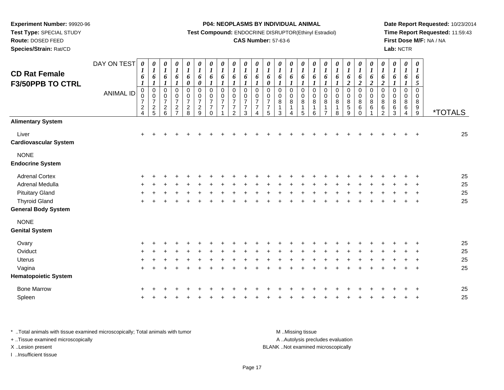**Test Type:** SPECIAL STUDY

## **Route:** DOSED FEED

**Species/Strain:** Rat/CD

#### **P04: NEOPLASMS BY INDIVIDUAL ANIMAL**

**Test Compound:** ENDOCRINE DISRUPTOR(Ethinyl Estradiol)

### **CAS Number:** 57-63-6

**Date Report Requested:** 10/23/2014**Time Report Requested:** 11:59:43**First Dose M/F:** NA / NA**Lab:** NCTR

| <b>CD Rat Female</b><br><b>F3/50PPB TO CTRL</b> | DAY ON TEST<br><b>ANIMAL ID</b> | 0<br>$\boldsymbol{l}$<br>6<br>$\boldsymbol{l}$<br>$\mathbf 0$<br>0<br>$\overline{7}$<br>$\frac{2}{4}$ | $\pmb{\theta}$<br>$\boldsymbol{l}$<br>6<br>$\boldsymbol{l}$<br>0<br>$\mathbf 0$<br>$\overline{7}$<br>$\frac{2}{5}$ | 0<br>$\boldsymbol{l}$<br>6<br>$\boldsymbol{l}$<br>0<br>$\pmb{0}$<br>$\overline{7}$<br>$\sqrt{2}$<br>6 | $\pmb{\theta}$<br>$\boldsymbol{l}$<br>6<br>$\boldsymbol{l}$<br>$\pmb{0}$<br>$\pmb{0}$<br>$\overline{7}$<br>$\boldsymbol{2}$<br>$\overline{7}$ | $\pmb{\theta}$<br>$\boldsymbol{l}$<br>$\pmb{6}$<br>$\boldsymbol{\theta}$<br>$\pmb{0}$<br>$\mathbf 0$<br>$\overline{7}$<br>$\frac{2}{8}$ | 0<br>$\boldsymbol{l}$<br>6<br>$\boldsymbol{\theta}$<br>0<br>$\pmb{0}$<br>$\overline{7}$<br>$\sqrt{2}$<br>$\overline{9}$ | 0<br>$\boldsymbol{l}$<br>6<br>$\boldsymbol{l}$<br>$\pmb{0}$<br>$\mathsf 0$<br>$\overline{7}$<br>$\overline{7}$<br>$\Omega$ | 0<br>$\boldsymbol{l}$<br>6<br>1<br>0<br>0<br>7<br>$\overline{7}$ | $\boldsymbol{\theta}$<br>$\boldsymbol{l}$<br>6<br>$\boldsymbol{l}$<br>0<br>0<br>$\overline{7}$<br>$\overline{7}$<br>2 | 0<br>$\boldsymbol{l}$<br>6<br>$\boldsymbol{l}$<br>$\mathbf 0$<br>$\mathbf 0$<br>$\overline{7}$<br>$\overline{7}$<br>3 | $\pmb{\theta}$<br>$\boldsymbol{l}$<br>6<br>1<br>$\mathbf 0$<br>$\mathbf 0$<br>$\overline{7}$<br>$\overline{7}$<br>Δ | 0<br>$\boldsymbol{l}$<br>6<br>$\boldsymbol{\theta}$<br>0<br>$\mathbf 0$<br>$\overline{7}$<br>$\overline{7}$<br>5 | 0<br>$\boldsymbol{l}$<br>6<br>$\boldsymbol{l}$<br>0<br>$\pmb{0}$<br>8<br>$\mathbf{1}$<br>3 | $\boldsymbol{\theta}$<br>$\boldsymbol{l}$<br>6<br>$\pmb{0}$<br>$\boldsymbol{0}$<br>$\, 8$<br>$\mathbf{1}$<br>Δ | 0<br>$\boldsymbol{l}$<br>6<br>0<br>$\pmb{0}$<br>$\bf 8$<br>$\mathbf 1$<br>5 | 0<br>$\boldsymbol{l}$<br>6<br>$\boldsymbol{l}$<br>0<br>$\pmb{0}$<br>8<br>-1<br>6 | 0<br>$\boldsymbol{l}$<br>6<br>$\boldsymbol{l}$<br>0<br>$\mathbf 0$<br>8 | 0<br>$\boldsymbol{l}$<br>6<br>0<br>$\pmb{0}$<br>8<br>8 | 0<br>$\boldsymbol{l}$<br>6<br>$\overline{\mathbf{c}}$<br>0<br>$\mathbf 0$<br>$\bf 8$<br>5<br>9 | $\boldsymbol{\theta}$<br>$\boldsymbol{l}$<br>6<br>$\overline{2}$<br>$\pmb{0}$<br>$\pmb{0}$<br>$\,8\,$<br>$\,6\,$<br>$\mathbf 0$ | 0<br>$\boldsymbol{l}$<br>6<br>$\boldsymbol{2}$<br>$\pmb{0}$<br>$\mathbf 0$<br>8<br>$\,6\,$ | $\pmb{\theta}$<br>$\boldsymbol{l}$<br>6<br>$\boldsymbol{2}$<br>$\,0\,$<br>$\pmb{0}$<br>8<br>6<br>$\overline{2}$ | $\boldsymbol{\theta}$<br>$\boldsymbol{l}$<br>6<br>$\boldsymbol{l}$<br>0<br>0<br>8<br>6<br>3 | 0<br>$\boldsymbol{l}$<br>6<br>1<br>0<br>0<br>8<br>6<br>4 | $\boldsymbol{\theta}$<br>$\boldsymbol{l}$<br>6<br>5<br>$\mathbf 0$<br>$\mathbf 0$<br>$\bf8$<br>9<br>9 | <i><b>*TOTALS</b></i> |
|-------------------------------------------------|---------------------------------|-------------------------------------------------------------------------------------------------------|--------------------------------------------------------------------------------------------------------------------|-------------------------------------------------------------------------------------------------------|-----------------------------------------------------------------------------------------------------------------------------------------------|-----------------------------------------------------------------------------------------------------------------------------------------|-------------------------------------------------------------------------------------------------------------------------|----------------------------------------------------------------------------------------------------------------------------|------------------------------------------------------------------|-----------------------------------------------------------------------------------------------------------------------|-----------------------------------------------------------------------------------------------------------------------|---------------------------------------------------------------------------------------------------------------------|------------------------------------------------------------------------------------------------------------------|--------------------------------------------------------------------------------------------|----------------------------------------------------------------------------------------------------------------|-----------------------------------------------------------------------------|----------------------------------------------------------------------------------|-------------------------------------------------------------------------|--------------------------------------------------------|------------------------------------------------------------------------------------------------|---------------------------------------------------------------------------------------------------------------------------------|--------------------------------------------------------------------------------------------|-----------------------------------------------------------------------------------------------------------------|---------------------------------------------------------------------------------------------|----------------------------------------------------------|-------------------------------------------------------------------------------------------------------|-----------------------|
| <b>Alimentary System</b>                        |                                 |                                                                                                       |                                                                                                                    |                                                                                                       |                                                                                                                                               |                                                                                                                                         |                                                                                                                         |                                                                                                                            |                                                                  |                                                                                                                       |                                                                                                                       |                                                                                                                     |                                                                                                                  |                                                                                            |                                                                                                                |                                                                             |                                                                                  |                                                                         |                                                        |                                                                                                |                                                                                                                                 |                                                                                            |                                                                                                                 |                                                                                             |                                                          |                                                                                                       |                       |
| Liver<br><b>Cardiovascular System</b>           |                                 | +                                                                                                     |                                                                                                                    |                                                                                                       |                                                                                                                                               |                                                                                                                                         |                                                                                                                         |                                                                                                                            |                                                                  |                                                                                                                       |                                                                                                                       |                                                                                                                     |                                                                                                                  |                                                                                            |                                                                                                                |                                                                             |                                                                                  |                                                                         |                                                        |                                                                                                |                                                                                                                                 |                                                                                            |                                                                                                                 |                                                                                             |                                                          | $\div$                                                                                                | 25                    |
| <b>NONE</b><br><b>Endocrine System</b>          |                                 |                                                                                                       |                                                                                                                    |                                                                                                       |                                                                                                                                               |                                                                                                                                         |                                                                                                                         |                                                                                                                            |                                                                  |                                                                                                                       |                                                                                                                       |                                                                                                                     |                                                                                                                  |                                                                                            |                                                                                                                |                                                                             |                                                                                  |                                                                         |                                                        |                                                                                                |                                                                                                                                 |                                                                                            |                                                                                                                 |                                                                                             |                                                          |                                                                                                       |                       |
| <b>Adrenal Cortex</b>                           |                                 |                                                                                                       |                                                                                                                    |                                                                                                       |                                                                                                                                               |                                                                                                                                         |                                                                                                                         |                                                                                                                            |                                                                  |                                                                                                                       |                                                                                                                       |                                                                                                                     |                                                                                                                  |                                                                                            |                                                                                                                |                                                                             |                                                                                  |                                                                         |                                                        |                                                                                                |                                                                                                                                 |                                                                                            |                                                                                                                 |                                                                                             |                                                          |                                                                                                       | 25                    |
| Adrenal Medulla                                 |                                 |                                                                                                       |                                                                                                                    |                                                                                                       |                                                                                                                                               |                                                                                                                                         |                                                                                                                         |                                                                                                                            |                                                                  |                                                                                                                       |                                                                                                                       |                                                                                                                     |                                                                                                                  |                                                                                            |                                                                                                                |                                                                             |                                                                                  |                                                                         |                                                        |                                                                                                |                                                                                                                                 |                                                                                            |                                                                                                                 |                                                                                             |                                                          |                                                                                                       | 25                    |
| <b>Pituitary Gland</b>                          |                                 |                                                                                                       |                                                                                                                    |                                                                                                       |                                                                                                                                               |                                                                                                                                         |                                                                                                                         |                                                                                                                            |                                                                  |                                                                                                                       |                                                                                                                       |                                                                                                                     |                                                                                                                  |                                                                                            |                                                                                                                |                                                                             |                                                                                  |                                                                         |                                                        |                                                                                                |                                                                                                                                 |                                                                                            |                                                                                                                 |                                                                                             |                                                          |                                                                                                       | 25                    |
| <b>Thyroid Gland</b>                            |                                 | ÷                                                                                                     |                                                                                                                    |                                                                                                       |                                                                                                                                               |                                                                                                                                         |                                                                                                                         |                                                                                                                            |                                                                  |                                                                                                                       |                                                                                                                       |                                                                                                                     |                                                                                                                  |                                                                                            |                                                                                                                |                                                                             |                                                                                  |                                                                         |                                                        |                                                                                                |                                                                                                                                 |                                                                                            |                                                                                                                 |                                                                                             |                                                          | $\overline{+}$                                                                                        | 25                    |
| <b>General Body System</b>                      |                                 |                                                                                                       |                                                                                                                    |                                                                                                       |                                                                                                                                               |                                                                                                                                         |                                                                                                                         |                                                                                                                            |                                                                  |                                                                                                                       |                                                                                                                       |                                                                                                                     |                                                                                                                  |                                                                                            |                                                                                                                |                                                                             |                                                                                  |                                                                         |                                                        |                                                                                                |                                                                                                                                 |                                                                                            |                                                                                                                 |                                                                                             |                                                          |                                                                                                       |                       |
| <b>NONE</b>                                     |                                 |                                                                                                       |                                                                                                                    |                                                                                                       |                                                                                                                                               |                                                                                                                                         |                                                                                                                         |                                                                                                                            |                                                                  |                                                                                                                       |                                                                                                                       |                                                                                                                     |                                                                                                                  |                                                                                            |                                                                                                                |                                                                             |                                                                                  |                                                                         |                                                        |                                                                                                |                                                                                                                                 |                                                                                            |                                                                                                                 |                                                                                             |                                                          |                                                                                                       |                       |
| <b>Genital System</b>                           |                                 |                                                                                                       |                                                                                                                    |                                                                                                       |                                                                                                                                               |                                                                                                                                         |                                                                                                                         |                                                                                                                            |                                                                  |                                                                                                                       |                                                                                                                       |                                                                                                                     |                                                                                                                  |                                                                                            |                                                                                                                |                                                                             |                                                                                  |                                                                         |                                                        |                                                                                                |                                                                                                                                 |                                                                                            |                                                                                                                 |                                                                                             |                                                          |                                                                                                       |                       |
| Ovary                                           |                                 |                                                                                                       |                                                                                                                    |                                                                                                       |                                                                                                                                               |                                                                                                                                         |                                                                                                                         |                                                                                                                            |                                                                  |                                                                                                                       |                                                                                                                       |                                                                                                                     |                                                                                                                  |                                                                                            |                                                                                                                |                                                                             |                                                                                  |                                                                         |                                                        |                                                                                                |                                                                                                                                 |                                                                                            |                                                                                                                 |                                                                                             |                                                          |                                                                                                       | 25                    |
| Oviduct                                         |                                 |                                                                                                       |                                                                                                                    |                                                                                                       |                                                                                                                                               |                                                                                                                                         |                                                                                                                         |                                                                                                                            |                                                                  |                                                                                                                       |                                                                                                                       |                                                                                                                     |                                                                                                                  |                                                                                            |                                                                                                                |                                                                             |                                                                                  |                                                                         |                                                        |                                                                                                |                                                                                                                                 |                                                                                            |                                                                                                                 |                                                                                             |                                                          |                                                                                                       | 25                    |
| <b>Uterus</b>                                   |                                 |                                                                                                       |                                                                                                                    |                                                                                                       |                                                                                                                                               |                                                                                                                                         |                                                                                                                         |                                                                                                                            |                                                                  |                                                                                                                       |                                                                                                                       |                                                                                                                     |                                                                                                                  |                                                                                            |                                                                                                                |                                                                             |                                                                                  |                                                                         |                                                        |                                                                                                |                                                                                                                                 |                                                                                            |                                                                                                                 |                                                                                             |                                                          |                                                                                                       | 25                    |
| Vagina                                          |                                 | $\ddot{}$                                                                                             |                                                                                                                    |                                                                                                       |                                                                                                                                               |                                                                                                                                         |                                                                                                                         |                                                                                                                            |                                                                  |                                                                                                                       |                                                                                                                       |                                                                                                                     |                                                                                                                  |                                                                                            |                                                                                                                |                                                                             |                                                                                  |                                                                         |                                                        |                                                                                                |                                                                                                                                 |                                                                                            |                                                                                                                 |                                                                                             |                                                          | $\overline{ }$                                                                                        | 25                    |
| <b>Hematopoietic System</b>                     |                                 |                                                                                                       |                                                                                                                    |                                                                                                       |                                                                                                                                               |                                                                                                                                         |                                                                                                                         |                                                                                                                            |                                                                  |                                                                                                                       |                                                                                                                       |                                                                                                                     |                                                                                                                  |                                                                                            |                                                                                                                |                                                                             |                                                                                  |                                                                         |                                                        |                                                                                                |                                                                                                                                 |                                                                                            |                                                                                                                 |                                                                                             |                                                          |                                                                                                       |                       |
| <b>Bone Marrow</b>                              |                                 |                                                                                                       |                                                                                                                    |                                                                                                       |                                                                                                                                               |                                                                                                                                         |                                                                                                                         |                                                                                                                            |                                                                  |                                                                                                                       |                                                                                                                       |                                                                                                                     |                                                                                                                  |                                                                                            |                                                                                                                |                                                                             |                                                                                  |                                                                         |                                                        |                                                                                                |                                                                                                                                 |                                                                                            |                                                                                                                 |                                                                                             |                                                          |                                                                                                       | 25                    |
| Spleen                                          |                                 |                                                                                                       |                                                                                                                    |                                                                                                       |                                                                                                                                               |                                                                                                                                         |                                                                                                                         |                                                                                                                            |                                                                  |                                                                                                                       |                                                                                                                       |                                                                                                                     |                                                                                                                  |                                                                                            |                                                                                                                |                                                                             |                                                                                  |                                                                         |                                                        |                                                                                                |                                                                                                                                 |                                                                                            |                                                                                                                 |                                                                                             |                                                          |                                                                                                       | 25                    |